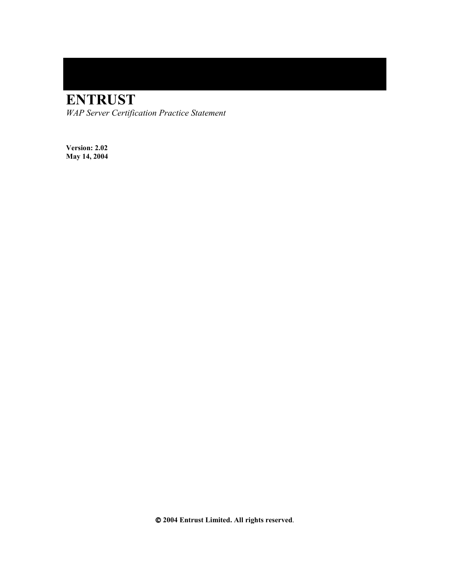# **ENTRUST**

*WAP Server Certification Practice Statement* 

**Version: 2.02 May 14, 2004** 

 **2004 Entrust Limited. All rights reserved**.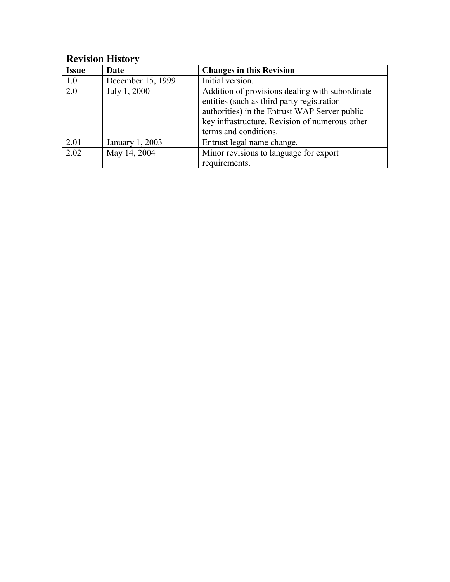# **Revision History**

| <b>Issue</b> | Date              | <b>Changes in this Revision</b>                                                                                                                                                                                           |
|--------------|-------------------|---------------------------------------------------------------------------------------------------------------------------------------------------------------------------------------------------------------------------|
| 1.0          | December 15, 1999 | Initial version.                                                                                                                                                                                                          |
| 2.0          | July 1, 2000      | Addition of provisions dealing with subordinate<br>entities (such as third party registration<br>authorities) in the Entrust WAP Server public<br>key infrastructure. Revision of numerous other<br>terms and conditions. |
| 2.01         | January 1, 2003   | Entrust legal name change.                                                                                                                                                                                                |
| 2.02         | May 14, 2004      | Minor revisions to language for export<br>requirements.                                                                                                                                                                   |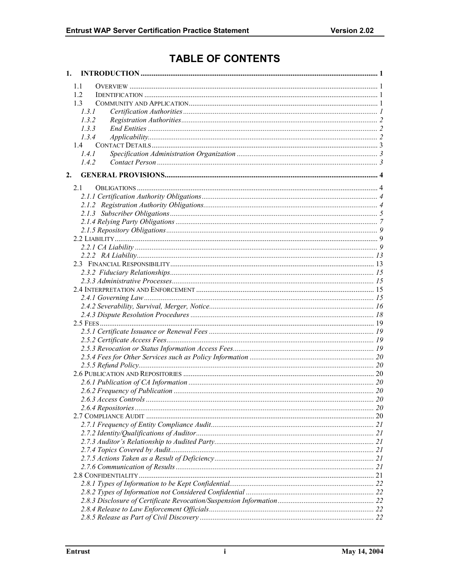# **TABLE OF CONTENTS**

| 1. |       |  |
|----|-------|--|
|    | 1.1   |  |
|    | 1.2   |  |
|    | 1.3   |  |
|    | 1.3.1 |  |
|    | 1.3.2 |  |
|    | 1.3.3 |  |
|    | 1.3.4 |  |
|    | 1.4   |  |
|    | 1.4.1 |  |
|    | 142   |  |
| 2. |       |  |
|    | 2.1   |  |
|    |       |  |
|    |       |  |
|    |       |  |
|    |       |  |
|    |       |  |
|    |       |  |
|    |       |  |
|    |       |  |
|    |       |  |
|    |       |  |
|    |       |  |
|    |       |  |
|    |       |  |
|    |       |  |
|    |       |  |
|    |       |  |
|    |       |  |
|    |       |  |
|    |       |  |
|    |       |  |
|    |       |  |
|    |       |  |
|    |       |  |
|    |       |  |
|    |       |  |
|    |       |  |
|    |       |  |
|    |       |  |
|    |       |  |
|    |       |  |
|    |       |  |
|    |       |  |
|    |       |  |
|    |       |  |
|    |       |  |
|    |       |  |
|    |       |  |
|    |       |  |
|    |       |  |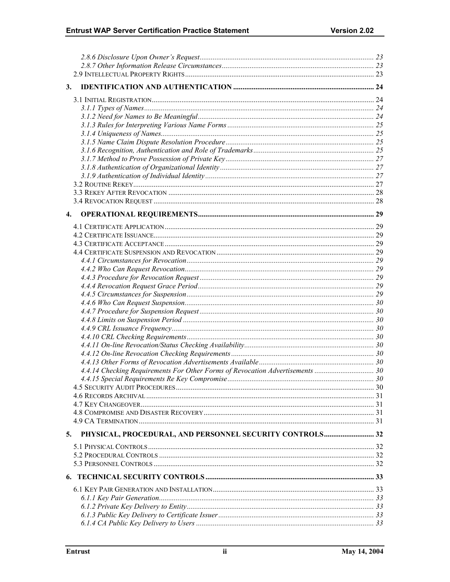| 3.                                                                            |  |
|-------------------------------------------------------------------------------|--|
|                                                                               |  |
|                                                                               |  |
|                                                                               |  |
|                                                                               |  |
|                                                                               |  |
|                                                                               |  |
|                                                                               |  |
|                                                                               |  |
|                                                                               |  |
|                                                                               |  |
|                                                                               |  |
|                                                                               |  |
|                                                                               |  |
|                                                                               |  |
|                                                                               |  |
| 4.                                                                            |  |
|                                                                               |  |
|                                                                               |  |
|                                                                               |  |
|                                                                               |  |
|                                                                               |  |
|                                                                               |  |
|                                                                               |  |
|                                                                               |  |
|                                                                               |  |
|                                                                               |  |
|                                                                               |  |
|                                                                               |  |
|                                                                               |  |
|                                                                               |  |
|                                                                               |  |
|                                                                               |  |
|                                                                               |  |
| 4.4.14 Checking Requirements For Other Forms of Revocation Advertisements  30 |  |
|                                                                               |  |
|                                                                               |  |
|                                                                               |  |
|                                                                               |  |
|                                                                               |  |
|                                                                               |  |
|                                                                               |  |
| PHYSICAL, PROCEDURAL, AND PERSONNEL SECURITY CONTROLS 32<br>5.                |  |
|                                                                               |  |
|                                                                               |  |
|                                                                               |  |
|                                                                               |  |
|                                                                               |  |
|                                                                               |  |
|                                                                               |  |
|                                                                               |  |
|                                                                               |  |
|                                                                               |  |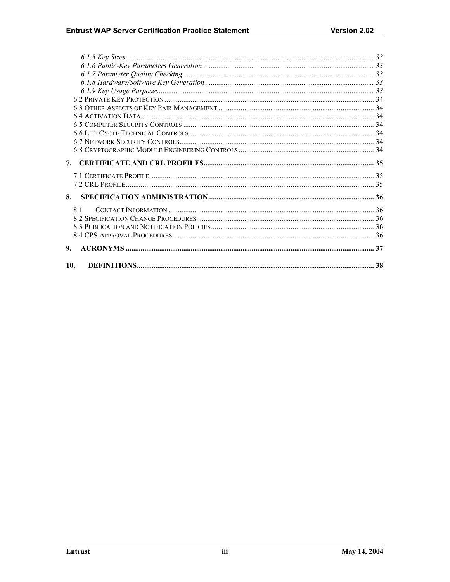| 7. |  |
|----|--|
|    |  |
|    |  |
| 8. |  |
| 81 |  |
|    |  |
|    |  |
|    |  |
| 9. |  |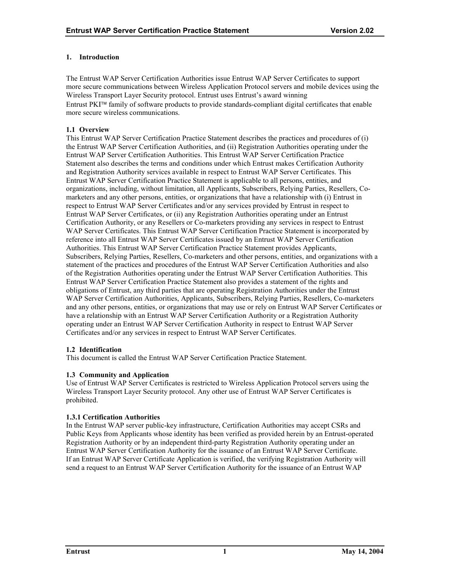# <span id="page-5-0"></span>**1. Introduction**

The Entrust WAP Server Certification Authorities issue Entrust WAP Server Certificates to support more secure communications between Wireless Application Protocol servers and mobile devices using the Wireless Transport Layer Security protocol. Entrust uses Entrust's award winning Entrust PKI<sup>™</sup> family of software products to provide standards-compliant digital certificates that enable more secure wireless communications.

# **1.1 Overview**

This Entrust WAP Server Certification Practice Statement describes the practices and procedures of (i) the Entrust WAP Server Certification Authorities, and (ii) Registration Authorities operating under the Entrust WAP Server Certification Authorities. This Entrust WAP Server Certification Practice Statement also describes the terms and conditions under which Entrust makes Certification Authority and Registration Authority services available in respect to Entrust WAP Server Certificates. This Entrust WAP Server Certification Practice Statement is applicable to all persons, entities, and organizations, including, without limitation, all Applicants, Subscribers, Relying Parties, Resellers, Comarketers and any other persons, entities, or organizations that have a relationship with (i) Entrust in respect to Entrust WAP Server Certificates and/or any services provided by Entrust in respect to Entrust WAP Server Certificates, or (ii) any Registration Authorities operating under an Entrust Certification Authority, or any Resellers or Co-marketers providing any services in respect to Entrust WAP Server Certificates. This Entrust WAP Server Certification Practice Statement is incorporated by reference into all Entrust WAP Server Certificates issued by an Entrust WAP Server Certification Authorities. This Entrust WAP Server Certification Practice Statement provides Applicants, Subscribers, Relying Parties, Resellers, Co-marketers and other persons, entities, and organizations with a statement of the practices and procedures of the Entrust WAP Server Certification Authorities and also of the Registration Authorities operating under the Entrust WAP Server Certification Authorities. This Entrust WAP Server Certification Practice Statement also provides a statement of the rights and obligations of Entrust, any third parties that are operating Registration Authorities under the Entrust WAP Server Certification Authorities, Applicants, Subscribers, Relying Parties, Resellers, Co-marketers and any other persons, entities, or organizations that may use or rely on Entrust WAP Server Certificates or have a relationship with an Entrust WAP Server Certification Authority or a Registration Authority operating under an Entrust WAP Server Certification Authority in respect to Entrust WAP Server Certificates and/or any services in respect to Entrust WAP Server Certificates.

# **1.2 Identification**

This document is called the Entrust WAP Server Certification Practice Statement.

# **1.3 Community and Application**

Use of Entrust WAP Server Certificates is restricted to Wireless Application Protocol servers using the Wireless Transport Layer Security protocol. Any other use of Entrust WAP Server Certificates is prohibited.

# **1.3.1 Certification Authorities**

In the Entrust WAP server public-key infrastructure, Certification Authorities may accept CSRs and Public Keys from Applicants whose identity has been verified as provided herein by an Entrust-operated Registration Authority or by an independent third-party Registration Authority operating under an Entrust WAP Server Certification Authority for the issuance of an Entrust WAP Server Certificate. If an Entrust WAP Server Certificate Application is verified, the verifying Registration Authority will send a request to an Entrust WAP Server Certification Authority for the issuance of an Entrust WAP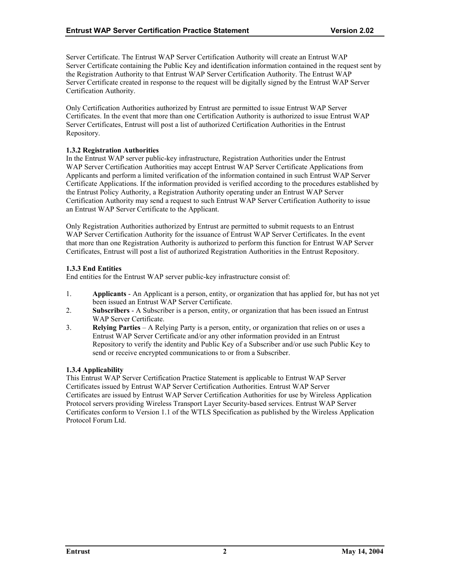<span id="page-6-0"></span>Server Certificate. The Entrust WAP Server Certification Authority will create an Entrust WAP Server Certificate containing the Public Key and identification information contained in the request sent by the Registration Authority to that Entrust WAP Server Certification Authority. The Entrust WAP Server Certificate created in response to the request will be digitally signed by the Entrust WAP Server Certification Authority.

Only Certification Authorities authorized by Entrust are permitted to issue Entrust WAP Server Certificates. In the event that more than one Certification Authority is authorized to issue Entrust WAP Server Certificates, Entrust will post a list of authorized Certification Authorities in the Entrust Repository.

# **1.3.2 Registration Authorities**

In the Entrust WAP server public-key infrastructure, Registration Authorities under the Entrust WAP Server Certification Authorities may accept Entrust WAP Server Certificate Applications from Applicants and perform a limited verification of the information contained in such Entrust WAP Server Certificate Applications. If the information provided is verified according to the procedures established by the Entrust Policy Authority, a Registration Authority operating under an Entrust WAP Server Certification Authority may send a request to such Entrust WAP Server Certification Authority to issue an Entrust WAP Server Certificate to the Applicant.

Only Registration Authorities authorized by Entrust are permitted to submit requests to an Entrust WAP Server Certification Authority for the issuance of Entrust WAP Server Certificates. In the event that more than one Registration Authority is authorized to perform this function for Entrust WAP Server Certificates, Entrust will post a list of authorized Registration Authorities in the Entrust Repository.

# **1.3.3 End Entities**

End entities for the Entrust WAP server public-key infrastructure consist of:

- 1. **Applicants**  An Applicant is a person, entity, or organization that has applied for, but has not yet been issued an Entrust WAP Server Certificate.
- 2. **Subscribers**  A Subscriber is a person, entity, or organization that has been issued an Entrust WAP Server Certificate.
- 3. **Relying Parties**  A Relying Party is a person, entity, or organization that relies on or uses a Entrust WAP Server Certificate and/or any other information provided in an Entrust Repository to verify the identity and Public Key of a Subscriber and/or use such Public Key to send or receive encrypted communications to or from a Subscriber.

# **1.3.4 Applicability**

This Entrust WAP Server Certification Practice Statement is applicable to Entrust WAP Server Certificates issued by Entrust WAP Server Certification Authorities. Entrust WAP Server Certificates are issued by Entrust WAP Server Certification Authorities for use by Wireless Application Protocol servers providing Wireless Transport Layer Security-based services. Entrust WAP Server Certificates conform to Version 1.1 of the WTLS Specification as published by the Wireless Application Protocol Forum Ltd.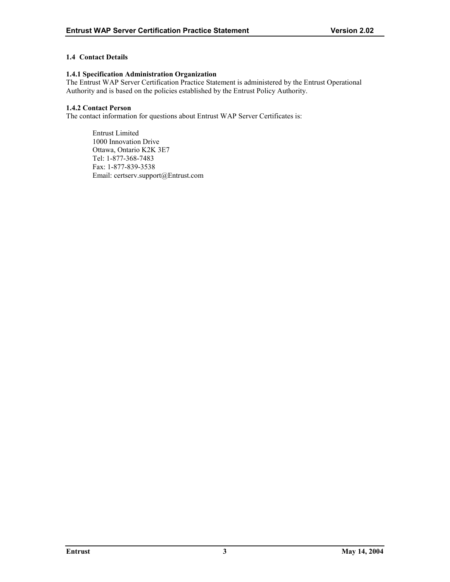# <span id="page-7-0"></span>**1.4 Contact Details**

#### **1.4.1 Specification Administration Organization**

The Entrust WAP Server Certification Practice Statement is administered by the Entrust Operational Authority and is based on the policies established by the Entrust Policy Authority.

# **1.4.2 Contact Person**

The contact information for questions about Entrust WAP Server Certificates is:

Entrust Limited 1000 Innovation Drive Ottawa, Ontario K2K 3E7 Tel: 1-877-368-7483 Fax: 1-877-839-3538 Email: certserv.support@Entrust.com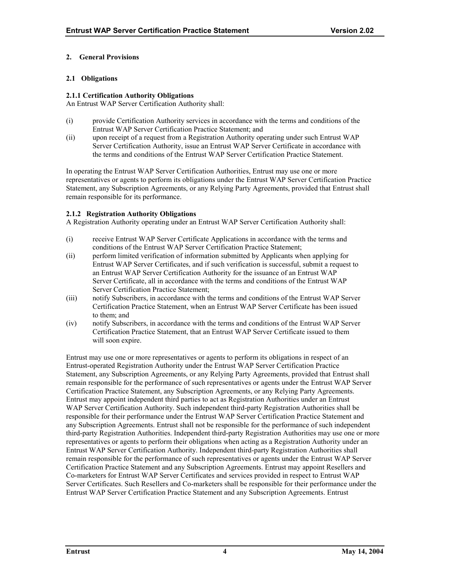# <span id="page-8-0"></span>**2. General Provisions**

# **2.1 Obligations**

# **2.1.1 Certification Authority Obligations**

An Entrust WAP Server Certification Authority shall:

- (i) provide Certification Authority services in accordance with the terms and conditions of the Entrust WAP Server Certification Practice Statement; and
- (ii) upon receipt of a request from a Registration Authority operating under such Entrust WAP Server Certification Authority, issue an Entrust WAP Server Certificate in accordance with the terms and conditions of the Entrust WAP Server Certification Practice Statement.

In operating the Entrust WAP Server Certification Authorities, Entrust may use one or more representatives or agents to perform its obligations under the Entrust WAP Server Certification Practice Statement, any Subscription Agreements, or any Relying Party Agreements, provided that Entrust shall remain responsible for its performance.

# **2.1.2 Registration Authority Obligations**

A Registration Authority operating under an Entrust WAP Server Certification Authority shall:

- (i) receive Entrust WAP Server Certificate Applications in accordance with the terms and conditions of the Entrust WAP Server Certification Practice Statement;
- (ii) perform limited verification of information submitted by Applicants when applying for Entrust WAP Server Certificates, and if such verification is successful, submit a request to an Entrust WAP Server Certification Authority for the issuance of an Entrust WAP Server Certificate, all in accordance with the terms and conditions of the Entrust WAP Server Certification Practice Statement;
- (iii) notify Subscribers, in accordance with the terms and conditions of the Entrust WAP Server Certification Practice Statement, when an Entrust WAP Server Certificate has been issued to them; and
- (iv) notify Subscribers, in accordance with the terms and conditions of the Entrust WAP Server Certification Practice Statement, that an Entrust WAP Server Certificate issued to them will soon expire.

Entrust may use one or more representatives or agents to perform its obligations in respect of an Entrust-operated Registration Authority under the Entrust WAP Server Certification Practice Statement, any Subscription Agreements, or any Relying Party Agreements, provided that Entrust shall remain responsible for the performance of such representatives or agents under the Entrust WAP Server Certification Practice Statement, any Subscription Agreements, or any Relying Party Agreements. Entrust may appoint independent third parties to act as Registration Authorities under an Entrust WAP Server Certification Authority. Such independent third-party Registration Authorities shall be responsible for their performance under the Entrust WAP Server Certification Practice Statement and any Subscription Agreements. Entrust shall not be responsible for the performance of such independent third-party Registration Authorities. Independent third-party Registration Authorities may use one or more representatives or agents to perform their obligations when acting as a Registration Authority under an Entrust WAP Server Certification Authority. Independent third-party Registration Authorities shall remain responsible for the performance of such representatives or agents under the Entrust WAP Server Certification Practice Statement and any Subscription Agreements. Entrust may appoint Resellers and Co-marketers for Entrust WAP Server Certificates and services provided in respect to Entrust WAP Server Certificates. Such Resellers and Co-marketers shall be responsible for their performance under the Entrust WAP Server Certification Practice Statement and any Subscription Agreements. Entrust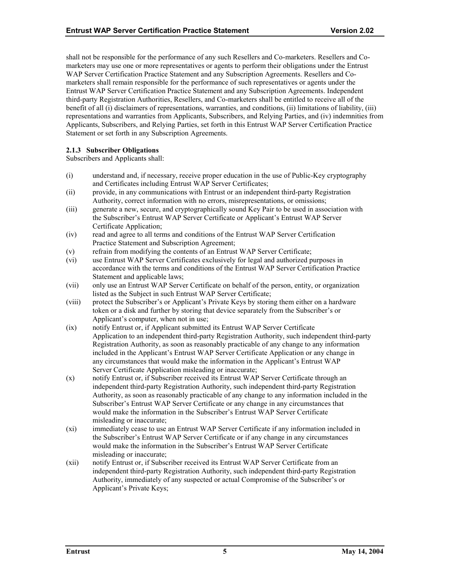<span id="page-9-0"></span>shall not be responsible for the performance of any such Resellers and Co-marketers. Resellers and Comarketers may use one or more representatives or agents to perform their obligations under the Entrust WAP Server Certification Practice Statement and any Subscription Agreements. Resellers and Comarketers shall remain responsible for the performance of such representatives or agents under the Entrust WAP Server Certification Practice Statement and any Subscription Agreements. Independent third-party Registration Authorities, Resellers, and Co-marketers shall be entitled to receive all of the benefit of all (i) disclaimers of representations, warranties, and conditions, (ii) limitations of liability, (iii) representations and warranties from Applicants, Subscribers, and Relying Parties, and (iv) indemnities from Applicants, Subscribers, and Relying Parties, set forth in this Entrust WAP Server Certification Practice Statement or set forth in any Subscription Agreements.

# **2.1.3 Subscriber Obligations**

Subscribers and Applicants shall:

- (i) understand and, if necessary, receive proper education in the use of Public-Key cryptography and Certificates including Entrust WAP Server Certificates;
- (ii) provide, in any communications with Entrust or an independent third-party Registration Authority, correct information with no errors, misrepresentations, or omissions;
- (iii) generate a new, secure, and cryptographically sound Key Pair to be used in association with the Subscriber's Entrust WAP Server Certificate or Applicant's Entrust WAP Server Certificate Application;
- (iv) read and agree to all terms and conditions of the Entrust WAP Server Certification Practice Statement and Subscription Agreement;
- (v) refrain from modifying the contents of an Entrust WAP Server Certificate;
- (vi) use Entrust WAP Server Certificates exclusively for legal and authorized purposes in accordance with the terms and conditions of the Entrust WAP Server Certification Practice Statement and applicable laws;
- (vii) only use an Entrust WAP Server Certificate on behalf of the person, entity, or organization listed as the Subject in such Entrust WAP Server Certificate;
- (viii) protect the Subscriber's or Applicant's Private Keys by storing them either on a hardware token or a disk and further by storing that device separately from the Subscriber's or Applicant's computer, when not in use;
- (ix) notify Entrust or, if Applicant submitted its Entrust WAP Server Certificate Application to an independent third-party Registration Authority, such independent third-party Registration Authority, as soon as reasonably practicable of any change to any information included in the Applicant's Entrust WAP Server Certificate Application or any change in any circumstances that would make the information in the Applicant's Entrust WAP Server Certificate Application misleading or inaccurate;
- (x) notify Entrust or, if Subscriber received its Entrust WAP Server Certificate through an independent third-party Registration Authority, such independent third-party Registration Authority, as soon as reasonably practicable of any change to any information included in the Subscriber's Entrust WAP Server Certificate or any change in any circumstances that would make the information in the Subscriber's Entrust WAP Server Certificate misleading or inaccurate;
- (xi) immediately cease to use an Entrust WAP Server Certificate if any information included in the Subscriber's Entrust WAP Server Certificate or if any change in any circumstances would make the information in the Subscriber's Entrust WAP Server Certificate misleading or inaccurate;
- (xii) notify Entrust or, if Subscriber received its Entrust WAP Server Certificate from an independent third-party Registration Authority, such independent third-party Registration Authority, immediately of any suspected or actual Compromise of the Subscriber's or Applicant's Private Keys;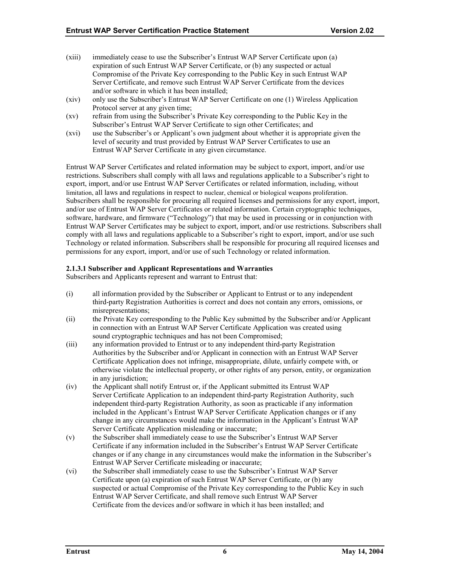- (xiii) immediately cease to use the Subscriber's Entrust WAP Server Certificate upon (a) expiration of such Entrust WAP Server Certificate, or (b) any suspected or actual Compromise of the Private Key corresponding to the Public Key in such Entrust WAP Server Certificate, and remove such Entrust WAP Server Certificate from the devices and/or software in which it has been installed;
- (xiv) only use the Subscriber's Entrust WAP Server Certificate on one (1) Wireless Application Protocol server at any given time;
- (xv) refrain from using the Subscriber's Private Key corresponding to the Public Key in the Subscriber's Entrust WAP Server Certificate to sign other Certificates; and
- (xvi) use the Subscriber's or Applicant's own judgment about whether it is appropriate given the level of security and trust provided by Entrust WAP Server Certificates to use an Entrust WAP Server Certificate in any given circumstance.

Entrust WAP Server Certificates and related information may be subject to export, import, and/or use restrictions. Subscribers shall comply with all laws and regulations applicable to a Subscriber's right to export, import, and/or use Entrust WAP Server Certificates or related information, including, without limitation, all laws and regulations in respect to nuclear, chemical or biological weapons proliferation. Subscribers shall be responsible for procuring all required licenses and permissions for any export, import, and/or use of Entrust WAP Server Certificates or related information. Certain cryptographic techniques, software, hardware, and firmware ("Technology") that may be used in processing or in conjunction with Entrust WAP Server Certificates may be subject to export, import, and/or use restrictions. Subscribers shall comply with all laws and regulations applicable to a Subscriber's right to export, import, and/or use such Technology or related information. Subscribers shall be responsible for procuring all required licenses and permissions for any export, import, and/or use of such Technology or related information.

# **2.1.3.1 Subscriber and Applicant Representations and Warranties**

Subscribers and Applicants represent and warrant to Entrust that:

- (i) all information provided by the Subscriber or Applicant to Entrust or to any independent third-party Registration Authorities is correct and does not contain any errors, omissions, or misrepresentations;
- (ii) the Private Key corresponding to the Public Key submitted by the Subscriber and/or Applicant in connection with an Entrust WAP Server Certificate Application was created using sound cryptographic techniques and has not been Compromised;
- (iii) any information provided to Entrust or to any independent third-party Registration Authorities by the Subscriber and/or Applicant in connection with an Entrust WAP Server Certificate Application does not infringe, misappropriate, dilute, unfairly compete with, or otherwise violate the intellectual property, or other rights of any person, entity, or organization in any jurisdiction;
- (iv) the Applicant shall notify Entrust or, if the Applicant submitted its Entrust WAP Server Certificate Application to an independent third-party Registration Authority, such independent third-party Registration Authority, as soon as practicable if any information included in the Applicant's Entrust WAP Server Certificate Application changes or if any change in any circumstances would make the information in the Applicant's Entrust WAP Server Certificate Application misleading or inaccurate;
- (v) the Subscriber shall immediately cease to use the Subscriber's Entrust WAP Server Certificate if any information included in the Subscriber's Entrust WAP Server Certificate changes or if any change in any circumstances would make the information in the Subscriber's Entrust WAP Server Certificate misleading or inaccurate;
- (vi) the Subscriber shall immediately cease to use the Subscriber's Entrust WAP Server Certificate upon (a) expiration of such Entrust WAP Server Certificate, or (b) any suspected or actual Compromise of the Private Key corresponding to the Public Key in such Entrust WAP Server Certificate, and shall remove such Entrust WAP Server Certificate from the devices and/or software in which it has been installed; and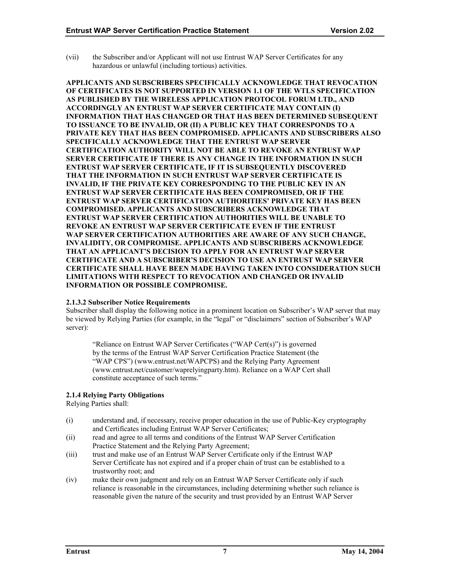<span id="page-11-0"></span>(vii) the Subscriber and/or Applicant will not use Entrust WAP Server Certificates for any hazardous or unlawful (including tortious) activities.

**APPLICANTS AND SUBSCRIBERS SPECIFICALLY ACKNOWLEDGE THAT REVOCATION OF CERTIFICATES IS NOT SUPPORTED IN VERSION 1.1 OF THE WTLS SPECIFICATION AS PUBLISHED BY THE WIRELESS APPLICATION PROTOCOL FORUM LTD., AND ACCORDINGLY AN ENTRUST WAP SERVER CERTIFICATE MAY CONTAIN (I) INFORMATION THAT HAS CHANGED OR THAT HAS BEEN DETERMINED SUBSEQUENT TO ISSUANCE TO BE INVALID, OR (II) A PUBLIC KEY THAT CORRESPONDS TO A PRIVATE KEY THAT HAS BEEN COMPROMISED. APPLICANTS AND SUBSCRIBERS ALSO SPECIFICALLY ACKNOWLEDGE THAT THE ENTRUST WAP SERVER CERTIFICATION AUTHORITY WILL NOT BE ABLE TO REVOKE AN ENTRUST WAP SERVER CERTIFICATE IF THERE IS ANY CHANGE IN THE INFORMATION IN SUCH ENTRUST WAP SERVER CERTIFICATE, IF IT IS SUBSEQUENTLY DISCOVERED THAT THE INFORMATION IN SUCH ENTRUST WAP SERVER CERTIFICATE IS INVALID, IF THE PRIVATE KEY CORRESPONDING TO THE PUBLIC KEY IN AN ENTRUST WAP SERVER CERTIFICATE HAS BEEN COMPROMISED, OR IF THE ENTRUST WAP SERVER CERTIFICATION AUTHORITIES' PRIVATE KEY HAS BEEN COMPROMISED. APPLICANTS AND SUBSCRIBERS ACKNOWLEDGE THAT ENTRUST WAP SERVER CERTIFICATION AUTHORITIES WILL BE UNABLE TO REVOKE AN ENTRUST WAP SERVER CERTIFICATE EVEN IF THE ENTRUST WAP SERVER CERTIFICATION AUTHORITIES ARE AWARE OF ANY SUCH CHANGE, INVALIDITY, OR COMPROMISE. APPLICANTS AND SUBSCRIBERS ACKNOWLEDGE THAT AN APPLICANT'S DECISION TO APPLY FOR AN ENTRUST WAP SERVER CERTIFICATE AND A SUBSCRIBER'S DECISION TO USE AN ENTRUST WAP SERVER CERTIFICATE SHALL HAVE BEEN MADE HAVING TAKEN INTO CONSIDERATION SUCH LIMITATIONS WITH RESPECT TO REVOCATION AND CHANGED OR INVALID INFORMATION OR POSSIBLE COMPROMISE.** 

#### **2.1.3.2 Subscriber Notice Requirements**

Subscriber shall display the following notice in a prominent location on Subscriber's WAP server that may be viewed by Relying Parties (for example, in the "legal" or "disclaimers" section of Subscriber's WAP server):

"Reliance on Entrust WAP Server Certificates ("WAP Cert(s)") is governed by the terms of the Entrust WAP Server Certification Practice Statement (the "WAP CPS") (www.entrust.net/WAPCPS) and the Relying Party Agreement (www.entrust.net/customer/waprelyingparty.htm). Reliance on a WAP Cert shall constitute acceptance of such terms."

# **2.1.4 Relying Party Obligations**

Relying Parties shall:

- (i) understand and, if necessary, receive proper education in the use of Public-Key cryptography and Certificates including Entrust WAP Server Certificates;
- (ii) read and agree to all terms and conditions of the Entrust WAP Server Certification Practice Statement and the Relying Party Agreement;
- (iii) trust and make use of an Entrust WAP Server Certificate only if the Entrust WAP Server Certificate has not expired and if a proper chain of trust can be established to a trustworthy root; and
- (iv) make their own judgment and rely on an Entrust WAP Server Certificate only if such reliance is reasonable in the circumstances, including determining whether such reliance is reasonable given the nature of the security and trust provided by an Entrust WAP Server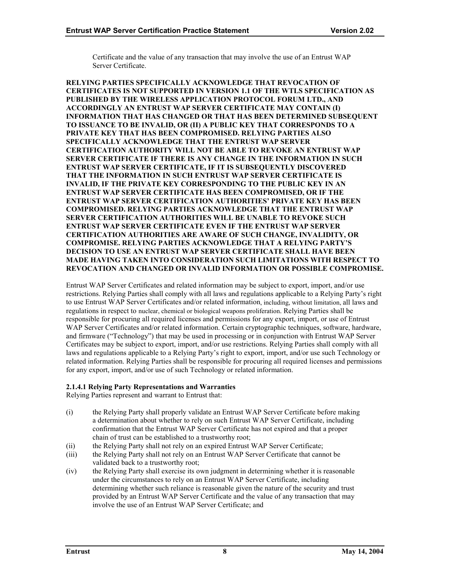Certificate and the value of any transaction that may involve the use of an Entrust WAP Server Certificate.

**RELYING PARTIES SPECIFICALLY ACKNOWLEDGE THAT REVOCATION OF CERTIFICATES IS NOT SUPPORTED IN VERSION 1.1 OF THE WTLS SPECIFICATION AS PUBLISHED BY THE WIRELESS APPLICATION PROTOCOL FORUM LTD., AND ACCORDINGLY AN ENTRUST WAP SERVER CERTIFICATE MAY CONTAIN (I) INFORMATION THAT HAS CHANGED OR THAT HAS BEEN DETERMINED SUBSEQUENT TO ISSUANCE TO BE INVALID, OR (II) A PUBLIC KEY THAT CORRESPONDS TO A PRIVATE KEY THAT HAS BEEN COMPROMISED. RELYING PARTIES ALSO SPECIFICALLY ACKNOWLEDGE THAT THE ENTRUST WAP SERVER CERTIFICATION AUTHORITY WILL NOT BE ABLE TO REVOKE AN ENTRUST WAP SERVER CERTIFICATE IF THERE IS ANY CHANGE IN THE INFORMATION IN SUCH ENTRUST WAP SERVER CERTIFICATE, IF IT IS SUBSEQUENTLY DISCOVERED THAT THE INFORMATION IN SUCH ENTRUST WAP SERVER CERTIFICATE IS INVALID, IF THE PRIVATE KEY CORRESPONDING TO THE PUBLIC KEY IN AN ENTRUST WAP SERVER CERTIFICATE HAS BEEN COMPROMISED, OR IF THE ENTRUST WAP SERVER CERTIFICATION AUTHORITIES' PRIVATE KEY HAS BEEN COMPROMISED. RELYING PARTIES ACKNOWLEDGE THAT THE ENTRUST WAP SERVER CERTIFICATION AUTHORITIES WILL BE UNABLE TO REVOKE SUCH ENTRUST WAP SERVER CERTIFICATE EVEN IF THE ENTRUST WAP SERVER CERTIFICATION AUTHORITIES ARE AWARE OF SUCH CHANGE, INVALIDITY, OR COMPROMISE. RELYING PARTIES ACKNOWLEDGE THAT A RELYING PARTY'S DECISION TO USE AN ENTRUST WAP SERVER CERTIFICATE SHALL HAVE BEEN MADE HAVING TAKEN INTO CONSIDERATION SUCH LIMITATIONS WITH RESPECT TO REVOCATION AND CHANGED OR INVALID INFORMATION OR POSSIBLE COMPROMISE.** 

Entrust WAP Server Certificates and related information may be subject to export, import, and/or use restrictions. Relying Parties shall comply with all laws and regulations applicable to a Relying Party's right to use Entrust WAP Server Certificates and/or related information, including, without limitation, all laws and regulations in respect to nuclear, chemical or biological weapons proliferation. Relying Parties shall be responsible for procuring all required licenses and permissions for any export, import, or use of Entrust WAP Server Certificates and/or related information. Certain cryptographic techniques, software, hardware, and firmware ("Technology") that may be used in processing or in conjunction with Entrust WAP Server Certificates may be subject to export, import, and/or use restrictions. Relying Parties shall comply with all laws and regulations applicable to a Relying Party's right to export, import, and/or use such Technology or related information. Relying Parties shall be responsible for procuring all required licenses and permissions for any export, import, and/or use of such Technology or related information.

# **2.1.4.1 Relying Party Representations and Warranties**

Relying Parties represent and warrant to Entrust that:

- (i) the Relying Party shall properly validate an Entrust WAP Server Certificate before making a determination about whether to rely on such Entrust WAP Server Certificate, including confirmation that the Entrust WAP Server Certificate has not expired and that a proper chain of trust can be established to a trustworthy root;
- (ii) the Relying Party shall not rely on an expired Entrust WAP Server Certificate;
- (iii) the Relying Party shall not rely on an Entrust WAP Server Certificate that cannot be validated back to a trustworthy root;
- (iv) the Relying Party shall exercise its own judgment in determining whether it is reasonable under the circumstances to rely on an Entrust WAP Server Certificate, including determining whether such reliance is reasonable given the nature of the security and trust provided by an Entrust WAP Server Certificate and the value of any transaction that may involve the use of an Entrust WAP Server Certificate; and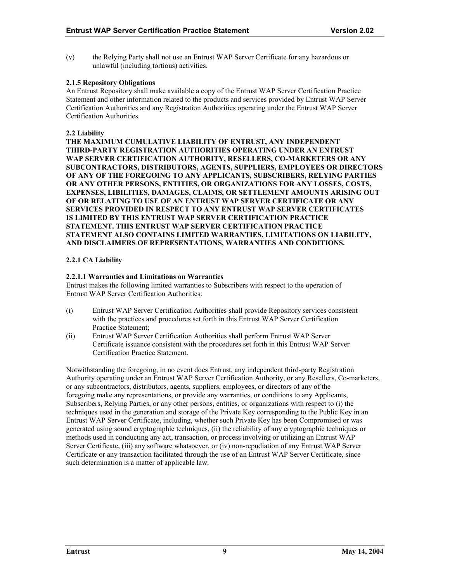<span id="page-13-0"></span>(v) the Relying Party shall not use an Entrust WAP Server Certificate for any hazardous or unlawful (including tortious) activities.

# **2.1.5 Repository Obligations**

An Entrust Repository shall make available a copy of the Entrust WAP Server Certification Practice Statement and other information related to the products and services provided by Entrust WAP Server Certification Authorities and any Registration Authorities operating under the Entrust WAP Server Certification Authorities.

# **2.2 Liability**

**THE MAXIMUM CUMULATIVE LIABILITY OF ENTRUST, ANY INDEPENDENT THIRD-PARTY REGISTRATION AUTHORITIES OPERATING UNDER AN ENTRUST WAP SERVER CERTIFICATION AUTHORITY, RESELLERS, CO-MARKETERS OR ANY SUBCONTRACTORS, DISTRIBUTORS, AGENTS, SUPPLIERS, EMPLOYEES OR DIRECTORS OF ANY OF THE FOREGOING TO ANY APPLICANTS, SUBSCRIBERS, RELYING PARTIES OR ANY OTHER PERSONS, ENTITIES, OR ORGANIZATIONS FOR ANY LOSSES, COSTS, EXPENSES, LIBILITIES, DAMAGES, CLAIMS, OR SETTLEMENT AMOUNTS ARISING OUT OF OR RELATING TO USE OF AN ENTRUST WAP SERVER CERTIFICATE OR ANY SERVICES PROVIDED IN RESPECT TO ANY ENTRUST WAP SERVER CERTIFICATES IS LIMITED BY THIS ENTRUST WAP SERVER CERTIFICATION PRACTICE STATEMENT. THIS ENTRUST WAP SERVER CERTIFICATION PRACTICE STATEMENT ALSO CONTAINS LIMITED WARRANTIES, LIMITATIONS ON LIABILITY, AND DISCLAIMERS OF REPRESENTATIONS, WARRANTIES AND CONDITIONS.** 

# **2.2.1 CA Liability**

# **2.2.1.1 Warranties and Limitations on Warranties**

Entrust makes the following limited warranties to Subscribers with respect to the operation of Entrust WAP Server Certification Authorities:

- (i) Entrust WAP Server Certification Authorities shall provide Repository services consistent with the practices and procedures set forth in this Entrust WAP Server Certification Practice Statement;
- (ii) Entrust WAP Server Certification Authorities shall perform Entrust WAP Server Certificate issuance consistent with the procedures set forth in this Entrust WAP Server Certification Practice Statement.

Notwithstanding the foregoing, in no event does Entrust, any independent third-party Registration Authority operating under an Entrust WAP Server Certification Authority, or any Resellers, Co-marketers, or any subcontractors, distributors, agents, suppliers, employees, or directors of any of the foregoing make any representations, or provide any warranties, or conditions to any Applicants, Subscribers, Relying Parties, or any other persons, entities, or organizations with respect to (i) the techniques used in the generation and storage of the Private Key corresponding to the Public Key in an Entrust WAP Server Certificate, including, whether such Private Key has been Compromised or was generated using sound cryptographic techniques, (ii) the reliability of any cryptographic techniques or methods used in conducting any act, transaction, or process involving or utilizing an Entrust WAP Server Certificate, (iii) any software whatsoever, or (iv) non-repudiation of any Entrust WAP Server Certificate or any transaction facilitated through the use of an Entrust WAP Server Certificate, since such determination is a matter of applicable law.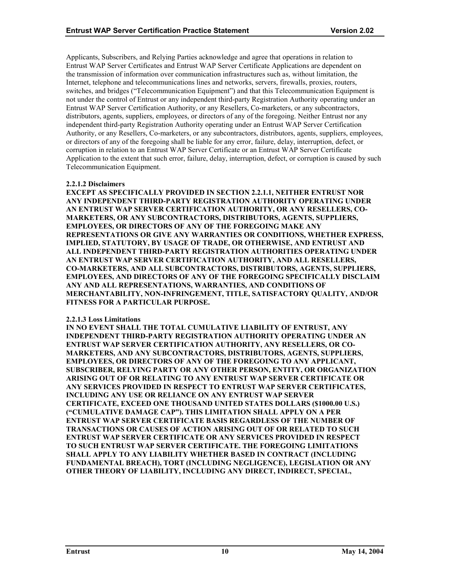Applicants, Subscribers, and Relying Parties acknowledge and agree that operations in relation to Entrust WAP Server Certificates and Entrust WAP Server Certificate Applications are dependent on the transmission of information over communication infrastructures such as, without limitation, the Internet, telephone and telecommunications lines and networks, servers, firewalls, proxies, routers, switches, and bridges ("Telecommunication Equipment") and that this Telecommunication Equipment is not under the control of Entrust or any independent third-party Registration Authority operating under an Entrust WAP Server Certification Authority, or any Resellers, Co-marketers, or any subcontractors, distributors, agents, suppliers, employees, or directors of any of the foregoing. Neither Entrust nor any independent third-party Registration Authority operating under an Entrust WAP Server Certification Authority, or any Resellers, Co-marketers, or any subcontractors, distributors, agents, suppliers, employees, or directors of any of the foregoing shall be liable for any error, failure, delay, interruption, defect, or corruption in relation to an Entrust WAP Server Certificate or an Entrust WAP Server Certificate Application to the extent that such error, failure, delay, interruption, defect, or corruption is caused by such Telecommunication Equipment.

# **2.2.1.2 Disclaimers**

**EXCEPT AS SPECIFICALLY PROVIDED IN SECTION 2.2.1.1, NEITHER ENTRUST NOR ANY INDEPENDENT THIRD-PARTY REGISTRATION AUTHORITY OPERATING UNDER AN ENTRUST WAP SERVER CERTIFICATION AUTHORITY, OR ANY RESELLERS, CO-MARKETERS, OR ANY SUBCONTRACTORS, DISTRIBUTORS, AGENTS, SUPPLIERS, EMPLOYEES, OR DIRECTORS OF ANY OF THE FOREGOING MAKE ANY REPRESENTATIONS OR GIVE ANY WARRANTIES OR CONDITIONS, WHETHER EXPRESS, IMPLIED, STATUTORY, BY USAGE OF TRADE, OR OTHERWISE, AND ENTRUST AND ALL INDEPENDENT THIRD-PARTY REGISTRATION AUTHORITIES OPERATING UNDER AN ENTRUST WAP SERVER CERTIFICATION AUTHORITY, AND ALL RESELLERS, CO-MARKETERS, AND ALL SUBCONTRACTORS, DISTRIBUTORS, AGENTS, SUPPLIERS, EMPLOYEES, AND DIRECTORS OF ANY OF THE FOREGOING SPECIFICALLY DISCLAIM ANY AND ALL REPRESENTATIONS, WARRANTIES, AND CONDITIONS OF MERCHANTABILITY, NON-INFRINGEMENT, TITLE, SATISFACTORY QUALITY, AND/OR FITNESS FOR A PARTICULAR PURPOSE.** 

#### **2.2.1.3 Loss Limitations**

**IN NO EVENT SHALL THE TOTAL CUMULATIVE LIABILITY OF ENTRUST, ANY INDEPENDENT THIRD-PARTY REGISTRATION AUTHORITY OPERATING UNDER AN ENTRUST WAP SERVER CERTIFICATION AUTHORITY, ANY RESELLERS, OR CO-MARKETERS, AND ANY SUBCONTRACTORS, DISTRIBUTORS, AGENTS, SUPPLIERS, EMPLOYEES, OR DIRECTORS OF ANY OF THE FOREGOING TO ANY APPLICANT, SUBSCRIBER, RELYING PARTY OR ANY OTHER PERSON, ENTITY, OR ORGANIZATION ARISING OUT OF OR RELATING TO ANY ENTRUST WAP SERVER CERTIFICATE OR ANY SERVICES PROVIDED IN RESPECT TO ENTRUST WAP SERVER CERTIFICATES, INCLUDING ANY USE OR RELIANCE ON ANY ENTRUST WAP SERVER CERTIFICATE, EXCEED ONE THOUSAND UNITED STATES DOLLARS (\$1000.00 U.S.) ("CUMULATIVE DAMAGE CAP"). THIS LIMITATION SHALL APPLY ON A PER ENTRUST WAP SERVER CERTIFICATE BASIS REGARDLESS OF THE NUMBER OF TRANSACTIONS OR CAUSES OF ACTION ARISING OUT OF OR RELATED TO SUCH ENTRUST WAP SERVER CERTIFICATE OR ANY SERVICES PROVIDED IN RESPECT TO SUCH ENTRUST WAP SERVER CERTIFICATE. THE FOREGOING LIMITATIONS SHALL APPLY TO ANY LIABILITY WHETHER BASED IN CONTRACT (INCLUDING FUNDAMENTAL BREACH), TORT (INCLUDING NEGLIGENCE), LEGISLATION OR ANY OTHER THEORY OF LIABILITY, INCLUDING ANY DIRECT, INDIRECT, SPECIAL,**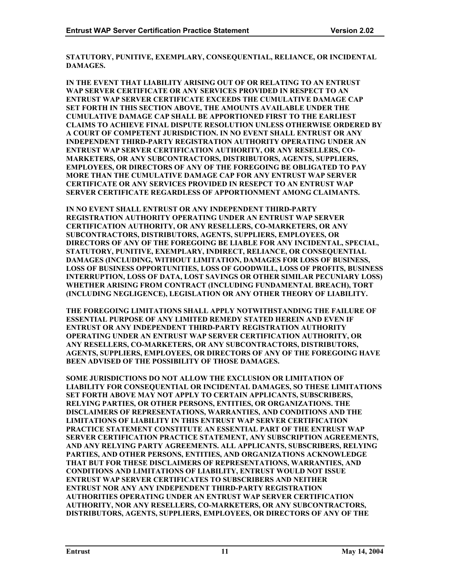**STATUTORY, PUNITIVE, EXEMPLARY, CONSEQUENTIAL, RELIANCE, OR INCIDENTAL DAMAGES.** 

**IN THE EVENT THAT LIABILITY ARISING OUT OF OR RELATING TO AN ENTRUST WAP SERVER CERTIFICATE OR ANY SERVICES PROVIDED IN RESPECT TO AN ENTRUST WAP SERVER CERTIFICATE EXCEEDS THE CUMULATIVE DAMAGE CAP SET FORTH IN THIS SECTION ABOVE, THE AMOUNTS AVAILABLE UNDER THE CUMULATIVE DAMAGE CAP SHALL BE APPORTIONED FIRST TO THE EARLIEST CLAIMS TO ACHIEVE FINAL DISPUTE RESOLUTION UNLESS OTHERWISE ORDERED BY A COURT OF COMPETENT JURISDICTION. IN NO EVENT SHALL ENTRUST OR ANY INDEPENDENT THIRD-PARTY REGISTRATION AUTHORITY OPERATING UNDER AN ENTRUST WAP SERVER CERTIFICATION AUTHORITY, OR ANY RESELLERS, CO-MARKETERS, OR ANY SUBCONTRACTORS, DISTRIBUTORS, AGENTS, SUPPLIERS, EMPLOYEES, OR DIRECTORS OF ANY OF THE FOREGOING BE OBLIGATED TO PAY MORE THAN THE CUMULATIVE DAMAGE CAP FOR ANY ENTRUST WAP SERVER CERTIFICATE OR ANY SERVICES PROVIDED IN RESEPCT TO AN ENTRUST WAP SERVER CERTIFICATE REGARDLESS OF APPORTIONMENT AMONG CLAIMANTS.** 

**IN NO EVENT SHALL ENTRUST OR ANY INDEPENDENT THIRD-PARTY REGISTRATION AUTHORITY OPERATING UNDER AN ENTRUST WAP SERVER CERTIFICATION AUTHORITY, OR ANY RESELLERS, CO-MARKETERS, OR ANY SUBCONTRACTORS, DISTRIBUTORS, AGENTS, SUPPLIERS, EMPLOYEES, OR DIRECTORS OF ANY OF THE FOREGOING BE LIABLE FOR ANY INCIDENTAL, SPECIAL, STATUTORY, PUNITIVE, EXEMPLARY, INDIRECT, RELIANCE, OR CONSEQUENTIAL DAMAGES (INCLUDING, WITHOUT LIMITATION, DAMAGES FOR LOSS OF BUSINESS, LOSS OF BUSINESS OPPORTUNITIES, LOSS OF GOODWILL, LOSS OF PROFITS, BUSINESS INTERRUPTION, LOSS OF DATA, LOST SAVINGS OR OTHER SIMILAR PECUNIARY LOSS) WHETHER ARISING FROM CONTRACT (INCLUDING FUNDAMENTAL BREACH), TORT (INCLUDING NEGLIGENCE), LEGISLATION OR ANY OTHER THEORY OF LIABILITY.** 

**THE FOREGOING LIMITATIONS SHALL APPLY NOTWITHSTANDING THE FAILURE OF ESSENTIAL PURPOSE OF ANY LIMITED REMEDY STATED HEREIN AND EVEN IF ENTRUST OR ANY INDEPENDENT THIRD-PARTY REGISTRATION AUTHORITY OPERATING UNDER AN ENTRUST WAP SERVER CERTIFICATION AUTHORITY, OR ANY RESELLERS, CO-MARKETERS, OR ANY SUBCONTRACTORS, DISTRIBUTORS, AGENTS, SUPPLIERS, EMPLOYEES, OR DIRECTORS OF ANY OF THE FOREGOING HAVE BEEN ADVISED OF THE POSSIBILITY OF THOSE DAMAGES.** 

**SOME JURISDICTIONS DO NOT ALLOW THE EXCLUSION OR LIMITATION OF LIABILITY FOR CONSEQUENTIAL OR INCIDENTAL DAMAGES, SO THESE LIMITATIONS SET FORTH ABOVE MAY NOT APPLY TO CERTAIN APPLICANTS, SUBSCRIBERS, RELYING PARTIES, OR OTHER PERSONS, ENTITIES, OR ORGANIZATIONS. THE DISCLAIMERS OF REPRESENTATIONS, WARRANTIES, AND CONDITIONS AND THE LIMITATIONS OF LIABILITY IN THIS ENTRUST WAP SERVER CERTIFICATION PRACTICE STATEMENT CONSTITUTE AN ESSENTIAL PART OF THE ENTRUST WAP SERVER CERTIFICATION PRACTICE STATEMENT, ANY SUBSCRIPTION AGREEMENTS, AND ANY RELYING PARTY AGREEMENTS. ALL APPLICANTS, SUBSCRIBERS, RELYING PARTIES, AND OTHER PERSONS, ENTITIES, AND ORGANIZATIONS ACKNOWLEDGE THAT BUT FOR THESE DISCLAIMERS OF REPRESENTATIONS, WARRANTIES, AND CONDITIONS AND LIMITATIONS OF LIABILITY, ENTRUST WOULD NOT ISSUE ENTRUST WAP SERVER CERTIFICATES TO SUBSCRIBERS AND NEITHER ENTRUST NOR ANY ANY INDEPENDENT THIRD-PARTY REGISTRATION AUTHORITIES OPERATING UNDER AN ENTRUST WAP SERVER CERTIFICATION AUTHORITY, NOR ANY RESELLERS, CO-MARKETERS, OR ANY SUBCONTRACTORS, DISTRIBUTORS, AGENTS, SUPPLIERS, EMPLOYEES, OR DIRECTORS OF ANY OF THE**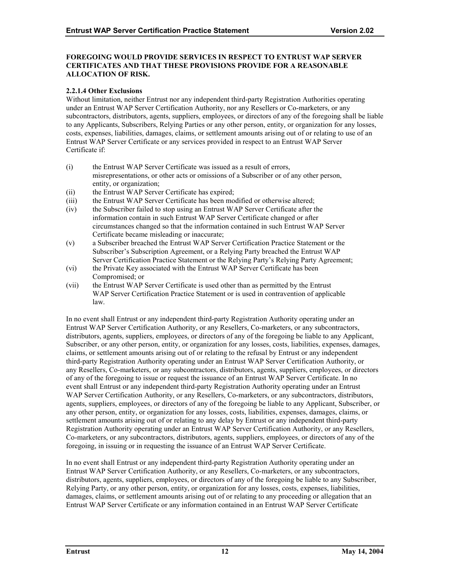# **FOREGOING WOULD PROVIDE SERVICES IN RESPECT TO ENTRUST WAP SERVER CERTIFICATES AND THAT THESE PROVISIONS PROVIDE FOR A REASONABLE ALLOCATION OF RISK.**

# **2.2.1.4 Other Exclusions**

Without limitation, neither Entrust nor any independent third-party Registration Authorities operating under an Entrust WAP Server Certification Authority, nor any Resellers or Co-marketers, or any subcontractors, distributors, agents, suppliers, employees, or directors of any of the foregoing shall be liable to any Applicants, Subscribers, Relying Parties or any other person, entity, or organization for any losses, costs, expenses, liabilities, damages, claims, or settlement amounts arising out of or relating to use of an Entrust WAP Server Certificate or any services provided in respect to an Entrust WAP Server Certificate if:

- (i) the Entrust WAP Server Certificate was issued as a result of errors, misrepresentations, or other acts or omissions of a Subscriber or of any other person, entity, or organization;
- (ii) the Entrust WAP Server Certificate has expired;
- (iii) the Entrust WAP Server Certificate has been modified or otherwise altered;
- (iv) the Subscriber failed to stop using an Entrust WAP Server Certificate after the information contain in such Entrust WAP Server Certificate changed or after circumstances changed so that the information contained in such Entrust WAP Server Certificate became misleading or inaccurate;
- (v) a Subscriber breached the Entrust WAP Server Certification Practice Statement or the Subscriber's Subscription Agreement, or a Relying Party breached the Entrust WAP Server Certification Practice Statement or the Relying Party's Relying Party Agreement;
- (vi) the Private Key associated with the Entrust WAP Server Certificate has been Compromised; or
- (vii) the Entrust WAP Server Certificate is used other than as permitted by the Entrust WAP Server Certification Practice Statement or is used in contravention of applicable law.

In no event shall Entrust or any independent third-party Registration Authority operating under an Entrust WAP Server Certification Authority, or any Resellers, Co-marketers, or any subcontractors, distributors, agents, suppliers, employees, or directors of any of the foregoing be liable to any Applicant, Subscriber, or any other person, entity, or organization for any losses, costs, liabilities, expenses, damages, claims, or settlement amounts arising out of or relating to the refusal by Entrust or any independent third-party Registration Authority operating under an Entrust WAP Server Certification Authority, or any Resellers, Co-marketers, or any subcontractors, distributors, agents, suppliers, employees, or directors of any of the foregoing to issue or request the issuance of an Entrust WAP Server Certificate. In no event shall Entrust or any independent third-party Registration Authority operating under an Entrust WAP Server Certification Authority, or any Resellers, Co-marketers, or any subcontractors, distributors, agents, suppliers, employees, or directors of any of the foregoing be liable to any Applicant, Subscriber, or any other person, entity, or organization for any losses, costs, liabilities, expenses, damages, claims, or settlement amounts arising out of or relating to any delay by Entrust or any independent third-party Registration Authority operating under an Entrust WAP Server Certification Authority, or any Resellers, Co-marketers, or any subcontractors, distributors, agents, suppliers, employees, or directors of any of the foregoing, in issuing or in requesting the issuance of an Entrust WAP Server Certificate.

In no event shall Entrust or any independent third-party Registration Authority operating under an Entrust WAP Server Certification Authority, or any Resellers, Co-marketers, or any subcontractors, distributors, agents, suppliers, employees, or directors of any of the foregoing be liable to any Subscriber, Relying Party, or any other person, entity, or organization for any losses, costs, expenses, liabilities, damages, claims, or settlement amounts arising out of or relating to any proceeding or allegation that an Entrust WAP Server Certificate or any information contained in an Entrust WAP Server Certificate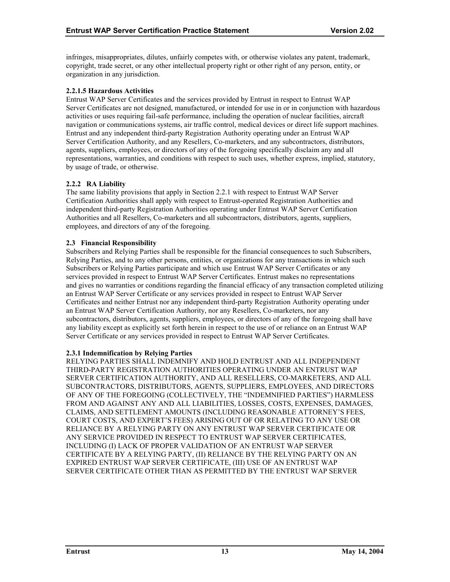<span id="page-17-0"></span>infringes, misappropriates, dilutes, unfairly competes with, or otherwise violates any patent, trademark, copyright, trade secret, or any other intellectual property right or other right of any person, entity, or organization in any jurisdiction.

# **2.2.1.5 Hazardous Activities**

Entrust WAP Server Certificates and the services provided by Entrust in respect to Entrust WAP Server Certificates are not designed, manufactured, or intended for use in or in conjunction with hazardous activities or uses requiring fail-safe performance, including the operation of nuclear facilities, aircraft navigation or communications systems, air traffic control, medical devices or direct life support machines. Entrust and any independent third-party Registration Authority operating under an Entrust WAP Server Certification Authority, and any Resellers, Co-marketers, and any subcontractors, distributors, agents, suppliers, employees, or directors of any of the foregoing specifically disclaim any and all representations, warranties, and conditions with respect to such uses, whether express, implied, statutory, by usage of trade, or otherwise.

# **2.2.2 RA Liability**

The same liability provisions that apply in Section 2.2.1 with respect to Entrust WAP Server Certification Authorities shall apply with respect to Entrust-operated Registration Authorities and independent third-party Registration Authorities operating under Entrust WAP Server Certification Authorities and all Resellers, Co-marketers and all subcontractors, distributors, agents, suppliers, employees, and directors of any of the foregoing.

#### **2.3 Financial Responsibility**

Subscribers and Relying Parties shall be responsible for the financial consequences to such Subscribers, Relying Parties, and to any other persons, entities, or organizations for any transactions in which such Subscribers or Relying Parties participate and which use Entrust WAP Server Certificates or any services provided in respect to Entrust WAP Server Certificates. Entrust makes no representations and gives no warranties or conditions regarding the financial efficacy of any transaction completed utilizing an Entrust WAP Server Certificate or any services provided in respect to Entrust WAP Server Certificates and neither Entrust nor any independent third-party Registration Authority operating under an Entrust WAP Server Certification Authority, nor any Resellers, Co-marketers, nor any subcontractors, distributors, agents, suppliers, employees, or directors of any of the foregoing shall have any liability except as explicitly set forth herein in respect to the use of or reliance on an Entrust WAP Server Certificate or any services provided in respect to Entrust WAP Server Certificates.

#### **2.3.1 Indemnification by Relying Parties**

RELYING PARTIES SHALL INDEMNIFY AND HOLD ENTRUST AND ALL INDEPENDENT THIRD-PARTY REGISTRATION AUTHORITIES OPERATING UNDER AN ENTRUST WAP SERVER CERTIFICATION AUTHORITY, AND ALL RESELLERS, CO-MARKETERS, AND ALL SUBCONTRACTORS, DISTRIBUTORS, AGENTS, SUPPLIERS, EMPLOYEES, AND DIRECTORS OF ANY OF THE FOREGOING (COLLECTIVELY, THE "INDEMNIFIED PARTIES") HARMLESS FROM AND AGAINST ANY AND ALL LIABILITIES, LOSSES, COSTS, EXPENSES, DAMAGES, CLAIMS, AND SETTLEMENT AMOUNTS (INCLUDING REASONABLE ATTORNEY'S FEES, COURT COSTS, AND EXPERT'S FEES) ARISING OUT OF OR RELATING TO ANY USE OR RELIANCE BY A RELYING PARTY ON ANY ENTRUST WAP SERVER CERTIFICATE OR ANY SERVICE PROVIDED IN RESPECT TO ENTRUST WAP SERVER CERTIFICATES, INCLUDING (I) LACK OF PROPER VALIDATION OF AN ENTRUST WAP SERVER CERTIFICATE BY A RELYING PARTY, (II) RELIANCE BY THE RELYING PARTY ON AN EXPIRED ENTRUST WAP SERVER CERTIFICATE, (III) USE OF AN ENTRUST WAP SERVER CERTIFICATE OTHER THAN AS PERMITTED BY THE ENTRUST WAP SERVER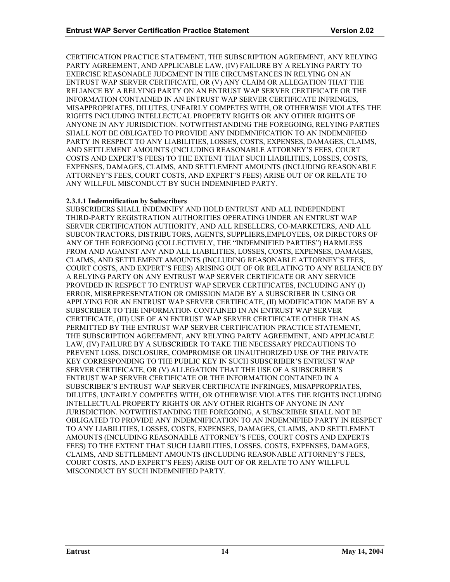CERTIFICATION PRACTICE STATEMENT, THE SUBSCRIPTION AGREEMENT, ANY RELYING PARTY AGREEMENT, AND APPLICABLE LAW, (IV) FAILURE BY A RELYING PARTY TO EXERCISE REASONABLE JUDGMENT IN THE CIRCUMSTANCES IN RELYING ON AN ENTRUST WAP SERVER CERTIFICATE, OR (V) ANY CLAIM OR ALLEGATION THAT THE RELIANCE BY A RELYING PARTY ON AN ENTRUST WAP SERVER CERTIFICATE OR THE INFORMATION CONTAINED IN AN ENTRUST WAP SERVER CERTIFICATE INFRINGES, MISAPPROPRIATES, DILUTES, UNFAIRLY COMPETES WITH, OR OTHERWISE VIOLATES THE RIGHTS INCLUDING INTELLECTUAL PROPERTY RIGHTS OR ANY OTHER RIGHTS OF ANYONE IN ANY JURISDICTION. NOTWITHSTANDING THE FOREGOING, RELYING PARTIES SHALL NOT BE OBLIGATED TO PROVIDE ANY INDEMNIFICATION TO AN INDEMNIFIED PARTY IN RESPECT TO ANY LIABILITIES, LOSSES, COSTS, EXPENSES, DAMAGES, CLAIMS, AND SETTLEMENT AMOUNTS (INCLUDING REASONABLE ATTORNEY'S FEES, COURT COSTS AND EXPERT'S FEES) TO THE EXTENT THAT SUCH LIABILITIES, LOSSES, COSTS, EXPENSES, DAMAGES, CLAIMS, AND SETTLEMENT AMOUNTS (INCLUDING REASONABLE ATTORNEY'S FEES, COURT COSTS, AND EXPERT'S FEES) ARISE OUT OF OR RELATE TO ANY WILLFUL MISCONDUCT BY SUCH INDEMNIFIED PARTY.

# **2.3.1.1 Indemnification by Subscribers**

SUBSCRIBERS SHALL INDEMNIFY AND HOLD ENTRUST AND ALL INDEPENDENT THIRD-PARTY REGISTRATION AUTHORITIES OPERATING UNDER AN ENTRUST WAP SERVER CERTIFICATION AUTHORITY, AND ALL RESELLERS, CO-MARKETERS, AND ALL SUBCONTRACTORS, DISTRIBUTORS, AGENTS, SUPPLIERS,EMPLOYEES, OR DIRECTORS OF ANY OF THE FOREGOING (COLLECTIVELY, THE "INDEMNIFIED PARTIES") HARMLESS FROM AND AGAINST ANY AND ALL LIABILITIES, LOSSES, COSTS, EXPENSES, DAMAGES, CLAIMS, AND SETTLEMENT AMOUNTS (INCLUDING REASONABLE ATTORNEY'S FEES, COURT COSTS, AND EXPERT'S FEES) ARISING OUT OF OR RELATING TO ANY RELIANCE BY A RELYING PARTY ON ANY ENTRUST WAP SERVER CERTIFICATE OR ANY SERVICE PROVIDED IN RESPECT TO ENTRUST WAP SERVER CERTIFICATES, INCLUDING ANY (I) ERROR, MISREPRESENTATION OR OMISSION MADE BY A SUBSCRIBER IN USING OR APPLYING FOR AN ENTRUST WAP SERVER CERTIFICATE, (II) MODIFICATION MADE BY A SUBSCRIBER TO THE INFORMATION CONTAINED IN AN ENTRUST WAP SERVER CERTIFICATE, (III) USE OF AN ENTRUST WAP SERVER CERTIFICATE OTHER THAN AS PERMITTED BY THE ENTRUST WAP SERVER CERTIFICATION PRACTICE STATEMENT, THE SUBSCRIPTION AGREEMENT, ANY RELYING PARTY AGREEMENT, AND APPLICABLE LAW, (IV) FAILURE BY A SUBSCRIBER TO TAKE THE NECESSARY PRECAUTIONS TO PREVENT LOSS, DISCLOSURE, COMPROMISE OR UNAUTHORIZED USE OF THE PRIVATE KEY CORRESPONDING TO THE PUBLIC KEY IN SUCH SUBSCRIBER'S ENTRUST WAP SERVER CERTIFICATE, OR (V) ALLEGATION THAT THE USE OF A SUBSCRIBER'S ENTRUST WAP SERVER CERTIFICATE OR THE INFORMATION CONTAINED IN A SUBSCRIBER'S ENTRUST WAP SERVER CERTIFICATE INFRINGES, MISAPPROPRIATES, DILUTES, UNFAIRLY COMPETES WITH, OR OTHERWISE VIOLATES THE RIGHTS INCLUDING INTELLECTUAL PROPERTY RIGHTS OR ANY OTHER RIGHTS OF ANYONE IN ANY JURISDICTION. NOTWITHSTANDING THE FOREGOING, A SUBSCRIBER SHALL NOT BE OBLIGATED TO PROVIDE ANY INDEMNIFICATION TO AN INDEMNIFIED PARTY IN RESPECT TO ANY LIABILITIES, LOSSES, COSTS, EXPENSES, DAMAGES, CLAIMS, AND SETTLEMENT AMOUNTS (INCLUDING REASONABLE ATTORNEY'S FEES, COURT COSTS AND EXPERTS FEES) TO THE EXTENT THAT SUCH LIABILITIES, LOSSES, COSTS, EXPENSES, DAMAGES, CLAIMS, AND SETTLEMENT AMOUNTS (INCLUDING REASONABLE ATTORNEY'S FEES, COURT COSTS, AND EXPERT'S FEES) ARISE OUT OF OR RELATE TO ANY WILLFUL MISCONDUCT BY SUCH INDEMNIFIED PARTY.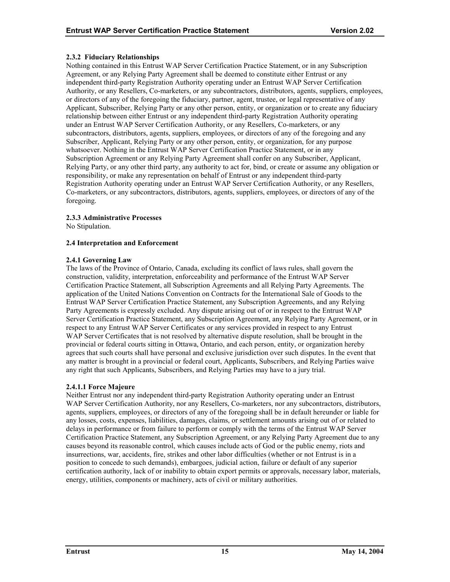# <span id="page-19-0"></span>**2.3.2 Fiduciary Relationships**

Nothing contained in this Entrust WAP Server Certification Practice Statement, or in any Subscription Agreement, or any Relying Party Agreement shall be deemed to constitute either Entrust or any independent third-party Registration Authority operating under an Entrust WAP Server Certification Authority, or any Resellers, Co-marketers, or any subcontractors, distributors, agents, suppliers, employees, or directors of any of the foregoing the fiduciary, partner, agent, trustee, or legal representative of any Applicant, Subscriber, Relying Party or any other person, entity, or organization or to create any fiduciary relationship between either Entrust or any independent third-party Registration Authority operating under an Entrust WAP Server Certification Authority, or any Resellers, Co-marketers, or any subcontractors, distributors, agents, suppliers, employees, or directors of any of the foregoing and any Subscriber, Applicant, Relying Party or any other person, entity, or organization, for any purpose whatsoever. Nothing in the Entrust WAP Server Certification Practice Statement, or in any Subscription Agreement or any Relying Party Agreement shall confer on any Subscriber, Applicant, Relying Party, or any other third party, any authority to act for, bind, or create or assume any obligation or responsibility, or make any representation on behalf of Entrust or any independent third-party Registration Authority operating under an Entrust WAP Server Certification Authority, or any Resellers, Co-marketers, or any subcontractors, distributors, agents, suppliers, employees, or directors of any of the foregoing.

# **2.3.3 Administrative Processes**

No Stipulation.

# **2.4 Interpretation and Enforcement**

# **2.4.1 Governing Law**

The laws of the Province of Ontario, Canada, excluding its conflict of laws rules, shall govern the construction, validity, interpretation, enforceability and performance of the Entrust WAP Server Certification Practice Statement, all Subscription Agreements and all Relying Party Agreements. The application of the United Nations Convention on Contracts for the International Sale of Goods to the Entrust WAP Server Certification Practice Statement, any Subscription Agreements, and any Relying Party Agreements is expressly excluded. Any dispute arising out of or in respect to the Entrust WAP Server Certification Practice Statement, any Subscription Agreement, any Relying Party Agreement, or in respect to any Entrust WAP Server Certificates or any services provided in respect to any Entrust WAP Server Certificates that is not resolved by alternative dispute resolution, shall be brought in the provincial or federal courts sitting in Ottawa, Ontario, and each person, entity, or organization hereby agrees that such courts shall have personal and exclusive jurisdiction over such disputes. In the event that any matter is brought in a provincial or federal court, Applicants, Subscribers, and Relying Parties waive any right that such Applicants, Subscribers, and Relying Parties may have to a jury trial.

# **2.4.1.1 Force Majeure**

Neither Entrust nor any independent third-party Registration Authority operating under an Entrust WAP Server Certification Authority, nor any Resellers, Co-marketers, nor any subcontractors, distributors, agents, suppliers, employees, or directors of any of the foregoing shall be in default hereunder or liable for any losses, costs, expenses, liabilities, damages, claims, or settlement amounts arising out of or related to delays in performance or from failure to perform or comply with the terms of the Entrust WAP Server Certification Practice Statement, any Subscription Agreement, or any Relying Party Agreement due to any causes beyond its reasonable control, which causes include acts of God or the public enemy, riots and insurrections, war, accidents, fire, strikes and other labor difficulties (whether or not Entrust is in a position to concede to such demands), embargoes, judicial action, failure or default of any superior certification authority, lack of or inability to obtain export permits or approvals, necessary labor, materials, energy, utilities, components or machinery, acts of civil or military authorities.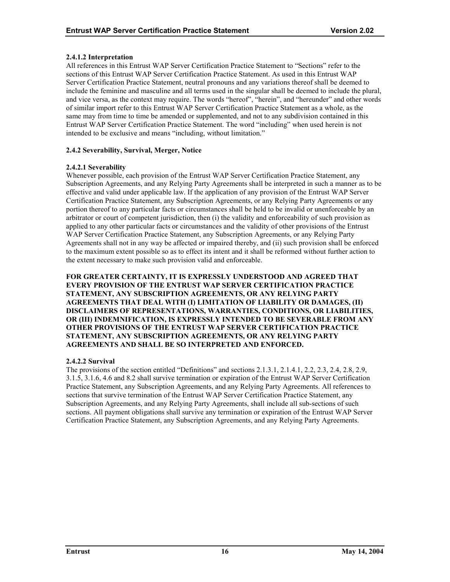# <span id="page-20-0"></span>**2.4.1.2 Interpretation**

All references in this Entrust WAP Server Certification Practice Statement to "Sections" refer to the sections of this Entrust WAP Server Certification Practice Statement. As used in this Entrust WAP Server Certification Practice Statement, neutral pronouns and any variations thereof shall be deemed to include the feminine and masculine and all terms used in the singular shall be deemed to include the plural, and vice versa, as the context may require. The words "hereof", "herein", and "hereunder" and other words of similar import refer to this Entrust WAP Server Certification Practice Statement as a whole, as the same may from time to time be amended or supplemented, and not to any subdivision contained in this Entrust WAP Server Certification Practice Statement. The word "including" when used herein is not intended to be exclusive and means "including, without limitation."

# **2.4.2 Severability, Survival, Merger, Notice**

# **2.4.2.1 Severability**

Whenever possible, each provision of the Entrust WAP Server Certification Practice Statement, any Subscription Agreements, and any Relying Party Agreements shall be interpreted in such a manner as to be effective and valid under applicable law. If the application of any provision of the Entrust WAP Server Certification Practice Statement, any Subscription Agreements, or any Relying Party Agreements or any portion thereof to any particular facts or circumstances shall be held to be invalid or unenforceable by an arbitrator or court of competent jurisdiction, then (i) the validity and enforceability of such provision as applied to any other particular facts or circumstances and the validity of other provisions of the Entrust WAP Server Certification Practice Statement, any Subscription Agreements, or any Relying Party Agreements shall not in any way be affected or impaired thereby, and (ii) such provision shall be enforced to the maximum extent possible so as to effect its intent and it shall be reformed without further action to the extent necessary to make such provision valid and enforceable.

**FOR GREATER CERTAINTY, IT IS EXPRESSLY UNDERSTOOD AND AGREED THAT EVERY PROVISION OF THE ENTRUST WAP SERVER CERTIFICATION PRACTICE STATEMENT, ANY SUBSCRIPTION AGREEMENTS, OR ANY RELYING PARTY AGREEMENTS THAT DEAL WITH (I) LIMITATION OF LIABILITY OR DAMAGES, (II) DISCLAIMERS OF REPRESENTATIONS, WARRANTIES, CONDITIONS, OR LIABILITIES, OR (III) INDEMNIFICATION, IS EXPRESSLY INTENDED TO BE SEVERABLE FROM ANY OTHER PROVISIONS OF THE ENTRUST WAP SERVER CERTIFICATION PRACTICE STATEMENT, ANY SUBSCRIPTION AGREEMENTS, OR ANY RELYING PARTY AGREEMENTS AND SHALL BE SO INTERPRETED AND ENFORCED.** 

# **2.4.2.2 Survival**

The provisions of the section entitled "Definitions" and sections 2.1.3.1, 2.1.4.1, 2.2, 2.3, 2.4, 2.8, 2.9, 3.1.5, 3.1.6, 4.6 and 8.2 shall survive termination or expiration of the Entrust WAP Server Certification Practice Statement, any Subscription Agreements, and any Relying Party Agreements. All references to sections that survive termination of the Entrust WAP Server Certification Practice Statement, any Subscription Agreements, and any Relying Party Agreements, shall include all sub-sections of such sections. All payment obligations shall survive any termination or expiration of the Entrust WAP Server Certification Practice Statement, any Subscription Agreements, and any Relying Party Agreements.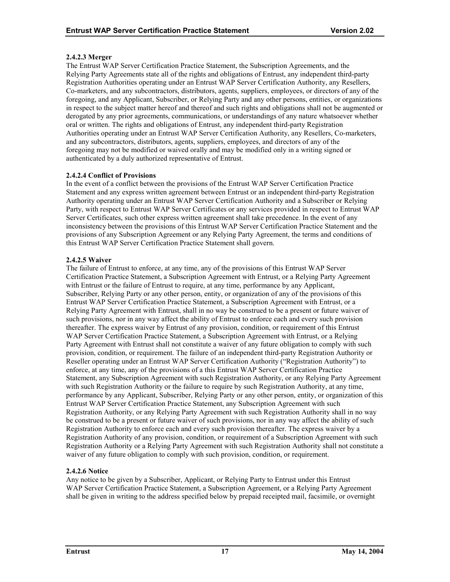# **2.4.2.3 Merger**

The Entrust WAP Server Certification Practice Statement, the Subscription Agreements, and the Relying Party Agreements state all of the rights and obligations of Entrust, any independent third-party Registration Authorities operating under an Entrust WAP Server Certification Authority, any Resellers, Co-marketers, and any subcontractors, distributors, agents, suppliers, employees, or directors of any of the foregoing, and any Applicant, Subscriber, or Relying Party and any other persons, entities, or organizations in respect to the subject matter hereof and thereof and such rights and obligations shall not be augmented or derogated by any prior agreements, communications, or understandings of any nature whatsoever whether oral or written. The rights and obligations of Entrust, any independent third-party Registration Authorities operating under an Entrust WAP Server Certification Authority, any Resellers, Co-marketers, and any subcontractors, distributors, agents, suppliers, employees, and directors of any of the foregoing may not be modified or waived orally and may be modified only in a writing signed or authenticated by a duly authorized representative of Entrust.

# **2.4.2.4 Conflict of Provisions**

In the event of a conflict between the provisions of the Entrust WAP Server Certification Practice Statement and any express written agreement between Entrust or an independent third-party Registration Authority operating under an Entrust WAP Server Certification Authority and a Subscriber or Relying Party, with respect to Entrust WAP Server Certificates or any services provided in respect to Entrust WAP Server Certificates, such other express written agreement shall take precedence. In the event of any inconsistency between the provisions of this Entrust WAP Server Certification Practice Statement and the provisions of any Subscription Agreement or any Relying Party Agreement, the terms and conditions of this Entrust WAP Server Certification Practice Statement shall govern.

# **2.4.2.5 Waiver**

The failure of Entrust to enforce, at any time, any of the provisions of this Entrust WAP Server Certification Practice Statement, a Subscription Agreement with Entrust, or a Relying Party Agreement with Entrust or the failure of Entrust to require, at any time, performance by any Applicant, Subscriber, Relying Party or any other person, entity, or organization of any of the provisions of this Entrust WAP Server Certification Practice Statement, a Subscription Agreement with Entrust, or a Relying Party Agreement with Entrust, shall in no way be construed to be a present or future waiver of such provisions, nor in any way affect the ability of Entrust to enforce each and every such provision thereafter. The express waiver by Entrust of any provision, condition, or requirement of this Entrust WAP Server Certification Practice Statement, a Subscription Agreement with Entrust, or a Relying Party Agreement with Entrust shall not constitute a waiver of any future obligation to comply with such provision, condition, or requirement. The failure of an independent third-party Registration Authority or Reseller operating under an Entrust WAP Server Certification Authority ("Registration Authority") to enforce, at any time, any of the provisions of a this Entrust WAP Server Certification Practice Statement, any Subscription Agreement with such Registration Authority, or any Relying Party Agreement with such Registration Authority or the failure to require by such Registration Authority, at any time, performance by any Applicant, Subscriber, Relying Party or any other person, entity, or organization of this Entrust WAP Server Certification Practice Statement, any Subscription Agreement with such Registration Authority, or any Relying Party Agreement with such Registration Authority shall in no way be construed to be a present or future waiver of such provisions, nor in any way affect the ability of such Registration Authority to enforce each and every such provision thereafter. The express waiver by a Registration Authority of any provision, condition, or requirement of a Subscription Agreement with such Registration Authority or a Relying Party Agreement with such Registration Authority shall not constitute a waiver of any future obligation to comply with such provision, condition, or requirement.

# **2.4.2.6 Notice**

Any notice to be given by a Subscriber, Applicant, or Relying Party to Entrust under this Entrust WAP Server Certification Practice Statement, a Subscription Agreement, or a Relying Party Agreement shall be given in writing to the address specified below by prepaid receipted mail, facsimile, or overnight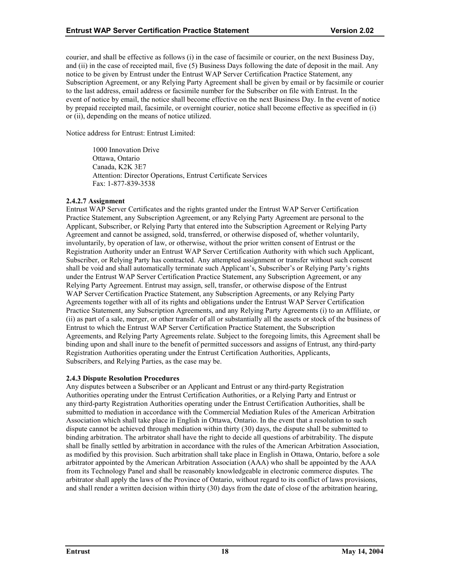<span id="page-22-0"></span>courier, and shall be effective as follows (i) in the case of facsimile or courier, on the next Business Day, and (ii) in the case of receipted mail, five (5) Business Days following the date of deposit in the mail. Any notice to be given by Entrust under the Entrust WAP Server Certification Practice Statement, any Subscription Agreement, or any Relying Party Agreement shall be given by email or by facsimile or courier to the last address, email address or facsimile number for the Subscriber on file with Entrust. In the event of notice by email, the notice shall become effective on the next Business Day. In the event of notice by prepaid receipted mail, facsimile, or overnight courier, notice shall become effective as specified in (i) or (ii), depending on the means of notice utilized.

Notice address for Entrust: Entrust Limited:

1000 Innovation Drive Ottawa, Ontario Canada, K2K 3E7 Attention: Director Operations, Entrust Certificate Services Fax: 1-877-839-3538

# **2.4.2.7 Assignment**

Entrust WAP Server Certificates and the rights granted under the Entrust WAP Server Certification Practice Statement, any Subscription Agreement, or any Relying Party Agreement are personal to the Applicant, Subscriber, or Relying Party that entered into the Subscription Agreement or Relying Party Agreement and cannot be assigned, sold, transferred, or otherwise disposed of, whether voluntarily, involuntarily, by operation of law, or otherwise, without the prior written consent of Entrust or the Registration Authority under an Entrust WAP Server Certification Authority with which such Applicant, Subscriber, or Relying Party has contracted. Any attempted assignment or transfer without such consent shall be void and shall automatically terminate such Applicant's, Subscriber's or Relying Party's rights under the Entrust WAP Server Certification Practice Statement, any Subscription Agreement, or any Relying Party Agreement. Entrust may assign, sell, transfer, or otherwise dispose of the Entrust WAP Server Certification Practice Statement, any Subscription Agreements, or any Relying Party Agreements together with all of its rights and obligations under the Entrust WAP Server Certification Practice Statement, any Subscription Agreements, and any Relying Party Agreements (i) to an Affiliate, or (ii) as part of a sale, merger, or other transfer of all or substantially all the assets or stock of the business of Entrust to which the Entrust WAP Server Certification Practice Statement, the Subscription Agreements, and Relying Party Agreements relate. Subject to the foregoing limits, this Agreement shall be binding upon and shall inure to the benefit of permitted successors and assigns of Entrust, any third-party Registration Authorities operating under the Entrust Certification Authorities, Applicants, Subscribers, and Relying Parties, as the case may be.

#### **2.4.3 Dispute Resolution Procedures**

Any disputes between a Subscriber or an Applicant and Entrust or any third-party Registration Authorities operating under the Entrust Certification Authorities, or a Relying Party and Entrust or any third-party Registration Authorities operating under the Entrust Certification Authorities, shall be submitted to mediation in accordance with the Commercial Mediation Rules of the American Arbitration Association which shall take place in English in Ottawa, Ontario. In the event that a resolution to such dispute cannot be achieved through mediation within thirty (30) days, the dispute shall be submitted to binding arbitration. The arbitrator shall have the right to decide all questions of arbitrability. The dispute shall be finally settled by arbitration in accordance with the rules of the American Arbitration Association, as modified by this provision. Such arbitration shall take place in English in Ottawa, Ontario, before a sole arbitrator appointed by the American Arbitration Association (AAA) who shall be appointed by the AAA from its Technology Panel and shall be reasonably knowledgeable in electronic commerce disputes. The arbitrator shall apply the laws of the Province of Ontario, without regard to its conflict of laws provisions, and shall render a written decision within thirty (30) days from the date of close of the arbitration hearing,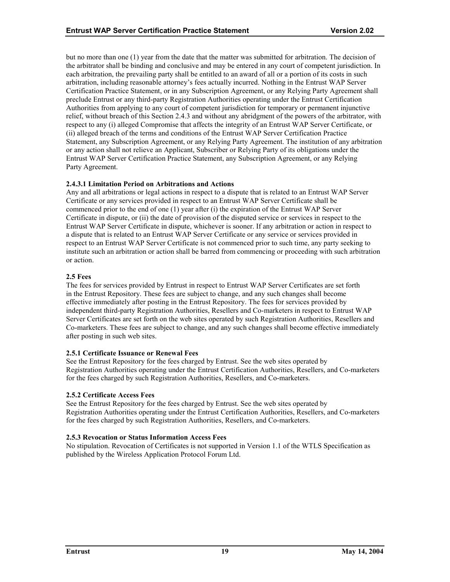<span id="page-23-0"></span>but no more than one (1) year from the date that the matter was submitted for arbitration. The decision of the arbitrator shall be binding and conclusive and may be entered in any court of competent jurisdiction. In each arbitration, the prevailing party shall be entitled to an award of all or a portion of its costs in such arbitration, including reasonable attorney's fees actually incurred. Nothing in the Entrust WAP Server Certification Practice Statement, or in any Subscription Agreement, or any Relying Party Agreement shall preclude Entrust or any third-party Registration Authorities operating under the Entrust Certification Authorities from applying to any court of competent jurisdiction for temporary or permanent injunctive relief, without breach of this Section 2.4.3 and without any abridgment of the powers of the arbitrator, with respect to any (i) alleged Compromise that affects the integrity of an Entrust WAP Server Certificate, or (ii) alleged breach of the terms and conditions of the Entrust WAP Server Certification Practice Statement, any Subscription Agreement, or any Relying Party Agreement. The institution of any arbitration or any action shall not relieve an Applicant, Subscriber or Relying Party of its obligations under the Entrust WAP Server Certification Practice Statement, any Subscription Agreement, or any Relying Party Agreement.

# **2.4.3.1 Limitation Period on Arbitrations and Actions**

Any and all arbitrations or legal actions in respect to a dispute that is related to an Entrust WAP Server Certificate or any services provided in respect to an Entrust WAP Server Certificate shall be commenced prior to the end of one (1) year after (i) the expiration of the Entrust WAP Server Certificate in dispute, or (ii) the date of provision of the disputed service or services in respect to the Entrust WAP Server Certificate in dispute, whichever is sooner. If any arbitration or action in respect to a dispute that is related to an Entrust WAP Server Certificate or any service or services provided in respect to an Entrust WAP Server Certificate is not commenced prior to such time, any party seeking to institute such an arbitration or action shall be barred from commencing or proceeding with such arbitration or action.

# **2.5 Fees**

The fees for services provided by Entrust in respect to Entrust WAP Server Certificates are set forth in the Entrust Repository. These fees are subject to change, and any such changes shall become effective immediately after posting in the Entrust Repository. The fees for services provided by independent third-party Registration Authorities, Resellers and Co-marketers in respect to Entrust WAP Server Certificates are set forth on the web sites operated by such Registration Authorities, Resellers and Co-marketers. These fees are subject to change, and any such changes shall become effective immediately after posting in such web sites.

#### **2.5.1 Certificate Issuance or Renewal Fees**

See the Entrust Repository for the fees charged by Entrust. See the web sites operated by Registration Authorities operating under the Entrust Certification Authorities, Resellers, and Co-marketers for the fees charged by such Registration Authorities, Resellers, and Co-marketers.

# **2.5.2 Certificate Access Fees**

See the Entrust Repository for the fees charged by Entrust. See the web sites operated by Registration Authorities operating under the Entrust Certification Authorities, Resellers, and Co-marketers for the fees charged by such Registration Authorities, Resellers, and Co-marketers.

# **2.5.3 Revocation or Status Information Access Fees**

No stipulation. Revocation of Certificates is not supported in Version 1.1 of the WTLS Specification as published by the Wireless Application Protocol Forum Ltd.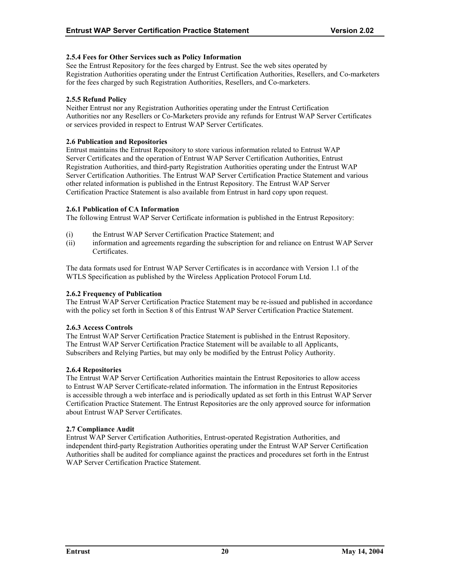# <span id="page-24-0"></span>**2.5.4 Fees for Other Services such as Policy Information**

See the Entrust Repository for the fees charged by Entrust. See the web sites operated by Registration Authorities operating under the Entrust Certification Authorities, Resellers, and Co-marketers for the fees charged by such Registration Authorities, Resellers, and Co-marketers.

# **2.5.5 Refund Policy**

Neither Entrust nor any Registration Authorities operating under the Entrust Certification Authorities nor any Resellers or Co-Marketers provide any refunds for Entrust WAP Server Certificates or services provided in respect to Entrust WAP Server Certificates.

#### **2.6 Publication and Repositories**

Entrust maintains the Entrust Repository to store various information related to Entrust WAP Server Certificates and the operation of Entrust WAP Server Certification Authorities, Entrust Registration Authorities, and third-party Registration Authorities operating under the Entrust WAP Server Certification Authorities. The Entrust WAP Server Certification Practice Statement and various other related information is published in the Entrust Repository. The Entrust WAP Server Certification Practice Statement is also available from Entrust in hard copy upon request.

# **2.6.1 Publication of CA Information**

The following Entrust WAP Server Certificate information is published in the Entrust Repository:

- (i) the Entrust WAP Server Certification Practice Statement; and
- (ii) information and agreements regarding the subscription for and reliance on Entrust WAP Server Certificates.

The data formats used for Entrust WAP Server Certificates is in accordance with Version 1.1 of the WTLS Specification as published by the Wireless Application Protocol Forum Ltd.

#### **2.6.2 Frequency of Publication**

The Entrust WAP Server Certification Practice Statement may be re-issued and published in accordance with the policy set forth in Section 8 of this Entrust WAP Server Certification Practice Statement.

# **2.6.3 Access Controls**

The Entrust WAP Server Certification Practice Statement is published in the Entrust Repository. The Entrust WAP Server Certification Practice Statement will be available to all Applicants, Subscribers and Relying Parties, but may only be modified by the Entrust Policy Authority.

#### **2.6.4 Repositories**

The Entrust WAP Server Certification Authorities maintain the Entrust Repositories to allow access to Entrust WAP Server Certificate-related information. The information in the Entrust Repositories is accessible through a web interface and is periodically updated as set forth in this Entrust WAP Server Certification Practice Statement. The Entrust Repositories are the only approved source for information about Entrust WAP Server Certificates.

#### **2.7 Compliance Audit**

Entrust WAP Server Certification Authorities, Entrust-operated Registration Authorities, and independent third-party Registration Authorities operating under the Entrust WAP Server Certification Authorities shall be audited for compliance against the practices and procedures set forth in the Entrust WAP Server Certification Practice Statement.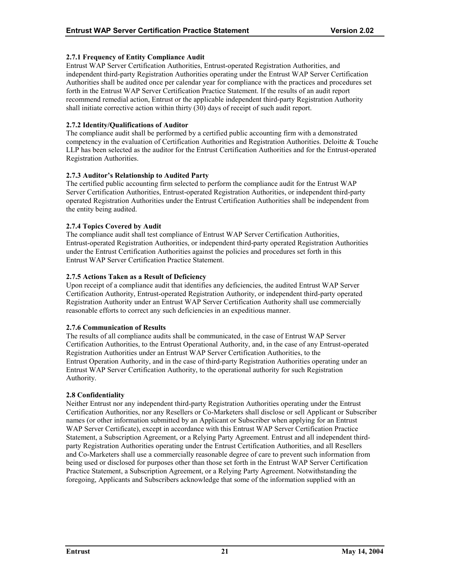# <span id="page-25-0"></span>**2.7.1 Frequency of Entity Compliance Audit**

Entrust WAP Server Certification Authorities, Entrust-operated Registration Authorities, and independent third-party Registration Authorities operating under the Entrust WAP Server Certification Authorities shall be audited once per calendar year for compliance with the practices and procedures set forth in the Entrust WAP Server Certification Practice Statement. If the results of an audit report recommend remedial action, Entrust or the applicable independent third-party Registration Authority shall initiate corrective action within thirty (30) days of receipt of such audit report.

# **2.7.2 Identity/Qualifications of Auditor**

The compliance audit shall be performed by a certified public accounting firm with a demonstrated competency in the evaluation of Certification Authorities and Registration Authorities. Deloitte & Touche LLP has been selected as the auditor for the Entrust Certification Authorities and for the Entrust-operated Registration Authorities.

# **2.7.3 Auditor's Relationship to Audited Party**

The certified public accounting firm selected to perform the compliance audit for the Entrust WAP Server Certification Authorities, Entrust-operated Registration Authorities, or independent third-party operated Registration Authorities under the Entrust Certification Authorities shall be independent from the entity being audited.

# **2.7.4 Topics Covered by Audit**

The compliance audit shall test compliance of Entrust WAP Server Certification Authorities, Entrust-operated Registration Authorities, or independent third-party operated Registration Authorities under the Entrust Certification Authorities against the policies and procedures set forth in this Entrust WAP Server Certification Practice Statement.

# **2.7.5 Actions Taken as a Result of Deficiency**

Upon receipt of a compliance audit that identifies any deficiencies, the audited Entrust WAP Server Certification Authority, Entrust-operated Registration Authority, or independent third-party operated Registration Authority under an Entrust WAP Server Certification Authority shall use commercially reasonable efforts to correct any such deficiencies in an expeditious manner.

#### **2.7.6 Communication of Results**

The results of all compliance audits shall be communicated, in the case of Entrust WAP Server Certification Authorities, to the Entrust Operational Authority, and, in the case of any Entrust-operated Registration Authorities under an Entrust WAP Server Certification Authorities, to the Entrust Operation Authority, and in the case of third-party Registration Authorities operating under an Entrust WAP Server Certification Authority, to the operational authority for such Registration Authority.

#### **2.8 Confidentiality**

Neither Entrust nor any independent third-party Registration Authorities operating under the Entrust Certification Authorities, nor any Resellers or Co-Marketers shall disclose or sell Applicant or Subscriber names (or other information submitted by an Applicant or Subscriber when applying for an Entrust WAP Server Certificate), except in accordance with this Entrust WAP Server Certification Practice Statement, a Subscription Agreement, or a Relying Party Agreement. Entrust and all independent thirdparty Registration Authorities operating under the Entrust Certification Authorities, and all Resellers and Co-Marketers shall use a commercially reasonable degree of care to prevent such information from being used or disclosed for purposes other than those set forth in the Entrust WAP Server Certification Practice Statement, a Subscription Agreement, or a Relying Party Agreement. Notwithstanding the foregoing, Applicants and Subscribers acknowledge that some of the information supplied with an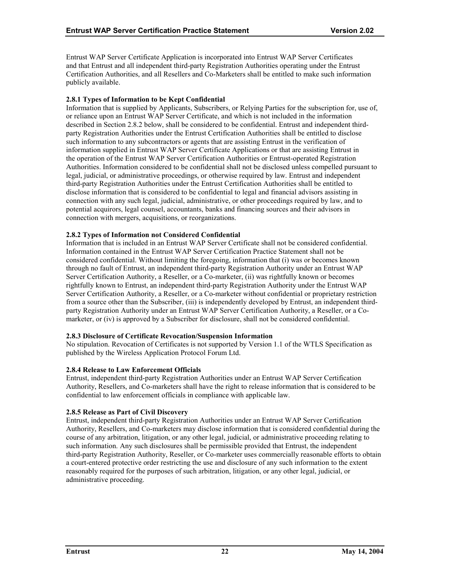<span id="page-26-0"></span>Entrust WAP Server Certificate Application is incorporated into Entrust WAP Server Certificates and that Entrust and all independent third-party Registration Authorities operating under the Entrust Certification Authorities, and all Resellers and Co-Marketers shall be entitled to make such information publicly available.

# **2.8.1 Types of Information to be Kept Confidential**

Information that is supplied by Applicants, Subscribers, or Relying Parties for the subscription for, use of, or reliance upon an Entrust WAP Server Certificate, and which is not included in the information described in Section 2.8.2 below, shall be considered to be confidential. Entrust and independent thirdparty Registration Authorities under the Entrust Certification Authorities shall be entitled to disclose such information to any subcontractors or agents that are assisting Entrust in the verification of information supplied in Entrust WAP Server Certificate Applications or that are assisting Entrust in the operation of the Entrust WAP Server Certification Authorities or Entrust-operated Registration Authorities. Information considered to be confidential shall not be disclosed unless compelled pursuant to legal, judicial, or administrative proceedings, or otherwise required by law. Entrust and independent third-party Registration Authorities under the Entrust Certification Authorities shall be entitled to disclose information that is considered to be confidential to legal and financial advisors assisting in connection with any such legal, judicial, administrative, or other proceedings required by law, and to potential acquirors, legal counsel, accountants, banks and financing sources and their advisors in connection with mergers, acquisitions, or reorganizations.

# **2.8.2 Types of Information not Considered Confidential**

Information that is included in an Entrust WAP Server Certificate shall not be considered confidential. Information contained in the Entrust WAP Server Certification Practice Statement shall not be considered confidential. Without limiting the foregoing, information that (i) was or becomes known through no fault of Entrust, an independent third-party Registration Authority under an Entrust WAP Server Certification Authority, a Reseller, or a Co-marketer, (ii) was rightfully known or becomes rightfully known to Entrust, an independent third-party Registration Authority under the Entrust WAP Server Certification Authority, a Reseller, or a Co-marketer without confidential or proprietary restriction from a source other than the Subscriber, (iii) is independently developed by Entrust, an independent thirdparty Registration Authority under an Entrust WAP Server Certification Authority, a Reseller, or a Comarketer, or (iv) is approved by a Subscriber for disclosure, shall not be considered confidential.

#### **2.8.3 Disclosure of Certificate Revocation/Suspension Information**

No stipulation. Revocation of Certificates is not supported by Version 1.1 of the WTLS Specification as published by the Wireless Application Protocol Forum Ltd.

#### **2.8.4 Release to Law Enforcement Officials**

Entrust, independent third-party Registration Authorities under an Entrust WAP Server Certification Authority, Resellers, and Co-marketers shall have the right to release information that is considered to be confidential to law enforcement officials in compliance with applicable law.

#### **2.8.5 Release as Part of Civil Discovery**

Entrust, independent third-party Registration Authorities under an Entrust WAP Server Certification Authority, Resellers, and Co-marketers may disclose information that is considered confidential during the course of any arbitration, litigation, or any other legal, judicial, or administrative proceeding relating to such information. Any such disclosures shall be permissible provided that Entrust, the independent third-party Registration Authority, Reseller, or Co-marketer uses commercially reasonable efforts to obtain a court-entered protective order restricting the use and disclosure of any such information to the extent reasonably required for the purposes of such arbitration, litigation, or any other legal, judicial, or administrative proceeding.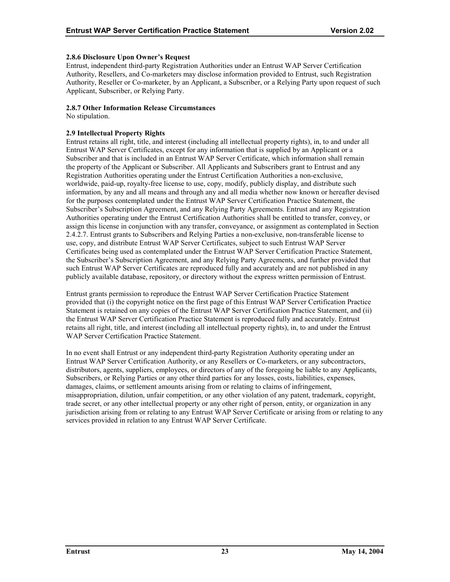# <span id="page-27-0"></span>**2.8.6 Disclosure Upon Owner's Request**

Entrust, independent third-party Registration Authorities under an Entrust WAP Server Certification Authority, Resellers, and Co-marketers may disclose information provided to Entrust, such Registration Authority, Reseller or Co-marketer, by an Applicant, a Subscriber, or a Relying Party upon request of such Applicant, Subscriber, or Relying Party.

# **2.8.7 Other Information Release Circumstances**

No stipulation.

# **2.9 Intellectual Property Rights**

Entrust retains all right, title, and interest (including all intellectual property rights), in, to and under all Entrust WAP Server Certificates, except for any information that is supplied by an Applicant or a Subscriber and that is included in an Entrust WAP Server Certificate, which information shall remain the property of the Applicant or Subscriber. All Applicants and Subscribers grant to Entrust and any Registration Authorities operating under the Entrust Certification Authorities a non-exclusive, worldwide, paid-up, royalty-free license to use, copy, modify, publicly display, and distribute such information, by any and all means and through any and all media whether now known or hereafter devised for the purposes contemplated under the Entrust WAP Server Certification Practice Statement, the Subscriber's Subscription Agreement, and any Relying Party Agreements. Entrust and any Registration Authorities operating under the Entrust Certification Authorities shall be entitled to transfer, convey, or assign this license in conjunction with any transfer, conveyance, or assignment as contemplated in Section 2.4.2.7. Entrust grants to Subscribers and Relying Parties a non-exclusive, non-transferable license to use, copy, and distribute Entrust WAP Server Certificates, subject to such Entrust WAP Server Certificates being used as contemplated under the Entrust WAP Server Certification Practice Statement, the Subscriber's Subscription Agreement, and any Relying Party Agreements, and further provided that such Entrust WAP Server Certificates are reproduced fully and accurately and are not published in any publicly available database, repository, or directory without the express written permission of Entrust.

Entrust grants permission to reproduce the Entrust WAP Server Certification Practice Statement provided that (i) the copyright notice on the first page of this Entrust WAP Server Certification Practice Statement is retained on any copies of the Entrust WAP Server Certification Practice Statement, and (ii) the Entrust WAP Server Certification Practice Statement is reproduced fully and accurately. Entrust retains all right, title, and interest (including all intellectual property rights), in, to and under the Entrust WAP Server Certification Practice Statement.

In no event shall Entrust or any independent third-party Registration Authority operating under an Entrust WAP Server Certification Authority, or any Resellers or Co-marketers, or any subcontractors, distributors, agents, suppliers, employees, or directors of any of the foregoing be liable to any Applicants, Subscribers, or Relying Parties or any other third parties for any losses, costs, liabilities, expenses, damages, claims, or settlement amounts arising from or relating to claims of infringement, misappropriation, dilution, unfair competition, or any other violation of any patent, trademark, copyright, trade secret, or any other intellectual property or any other right of person, entity, or organization in any jurisdiction arising from or relating to any Entrust WAP Server Certificate or arising from or relating to any services provided in relation to any Entrust WAP Server Certificate.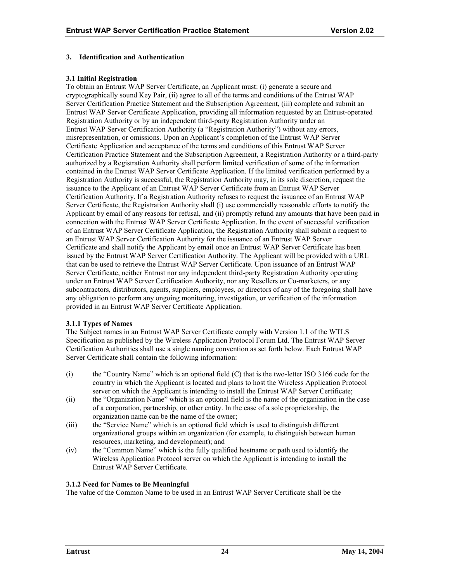# <span id="page-28-0"></span>**3. Identification and Authentication**

# **3.1 Initial Registration**

To obtain an Entrust WAP Server Certificate, an Applicant must: (i) generate a secure and cryptographically sound Key Pair, (ii) agree to all of the terms and conditions of the Entrust WAP Server Certification Practice Statement and the Subscription Agreement, (iii) complete and submit an Entrust WAP Server Certificate Application, providing all information requested by an Entrust-operated Registration Authority or by an independent third-party Registration Authority under an Entrust WAP Server Certification Authority (a "Registration Authority") without any errors, misrepresentation, or omissions. Upon an Applicant's completion of the Entrust WAP Server Certificate Application and acceptance of the terms and conditions of this Entrust WAP Server Certification Practice Statement and the Subscription Agreement, a Registration Authority or a third-party authorized by a Registration Authority shall perform limited verification of some of the information contained in the Entrust WAP Server Certificate Application. If the limited verification performed by a Registration Authority is successful, the Registration Authority may, in its sole discretion, request the issuance to the Applicant of an Entrust WAP Server Certificate from an Entrust WAP Server Certification Authority. If a Registration Authority refuses to request the issuance of an Entrust WAP Server Certificate, the Registration Authority shall (i) use commercially reasonable efforts to notify the Applicant by email of any reasons for refusal, and (ii) promptly refund any amounts that have been paid in connection with the Entrust WAP Server Certificate Application. In the event of successful verification of an Entrust WAP Server Certificate Application, the Registration Authority shall submit a request to an Entrust WAP Server Certification Authority for the issuance of an Entrust WAP Server Certificate and shall notify the Applicant by email once an Entrust WAP Server Certificate has been issued by the Entrust WAP Server Certification Authority. The Applicant will be provided with a URL that can be used to retrieve the Entrust WAP Server Certificate. Upon issuance of an Entrust WAP Server Certificate, neither Entrust nor any independent third-party Registration Authority operating under an Entrust WAP Server Certification Authority, nor any Resellers or Co-marketers, or any subcontractors, distributors, agents, suppliers, employees, or directors of any of the foregoing shall have any obligation to perform any ongoing monitoring, investigation, or verification of the information provided in an Entrust WAP Server Certificate Application.

#### **3.1.1 Types of Names**

The Subject names in an Entrust WAP Server Certificate comply with Version 1.1 of the WTLS Specification as published by the Wireless Application Protocol Forum Ltd. The Entrust WAP Server Certification Authorities shall use a single naming convention as set forth below. Each Entrust WAP Server Certificate shall contain the following information:

- (i) the "Country Name" which is an optional field (C) that is the two-letter ISO 3166 code for the country in which the Applicant is located and plans to host the Wireless Application Protocol server on which the Applicant is intending to install the Entrust WAP Server Certificate;
- (ii) the "Organization Name" which is an optional field is the name of the organization in the case of a corporation, partnership, or other entity. In the case of a sole proprietorship, the organization name can be the name of the owner;
- (iii) the "Service Name" which is an optional field which is used to distinguish different organizational groups within an organization (for example, to distinguish between human resources, marketing, and development); and
- (iv) the "Common Name" which is the fully qualified hostname or path used to identify the Wireless Application Protocol server on which the Applicant is intending to install the Entrust WAP Server Certificate.

# **3.1.2 Need for Names to Be Meaningful**

The value of the Common Name to be used in an Entrust WAP Server Certificate shall be the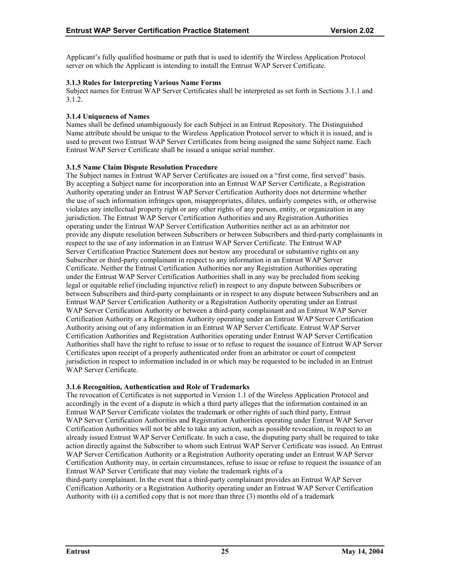<span id="page-29-0"></span>Applicant's fully qualified hostname or path that is used to identify the Wireless Application Protocol server on which the Applicant is intending to install the Entrust WAP Server Certificate.

# **3.1.3 Rules for Interpreting Various Name Forms**

Subject names for Entrust WAP Server Certificates shall be interpreted as set forth in Sections 3.1.1 and 3.1.2.

# **3.1.4 Uniqueness of Names**

Names shall be defined unambiguously for each Subject in an Entrust Repository. The Distinguished Name attribute should be unique to the Wireless Application Protocol server to which it is issued, and is used to prevent two Entrust WAP Server Certificates from being assigned the same Subject name. Each Entrust WAP Server Certificate shall be issued a unique serial number.

# **3.1.5 Name Claim Dispute Resolution Procedure**

The Subject names in Entrust WAP Server Certificates are issued on a "first come, first served" basis. By accepting a Subject name for incorporation into an Entrust WAP Server Certificate, a Registration Authority operating under an Entrust WAP Server Certification Authority does not determine whether the use of such information infringes upon, misappropriates, dilutes, unfairly competes with, or otherwise violates any intellectual property right or any other rights of any person, entity, or organization in any jurisdiction. The Entrust WAP Server Certification Authorities and any Registration Authorities operating under the Entrust WAP Server Certification Authorities neither act as an arbitrator nor provide any dispute resolution between Subscribers or between Subscribers and third-party complainants in respect to the use of any information in an Entrust WAP Server Certificate. The Entrust WAP Server Certification Practice Statement does not bestow any procedural or substantive rights on any Subscriber or third-party complainant in respect to any information in an Entrust WAP Server Certificate. Neither the Entrust Certification Authorities nor any Registration Authorities operating under the Entrust WAP Server Certification Authorities shall in any way be precluded from seeking legal or equitable relief (including injunctive relief) in respect to any dispute between Subscribers or between Subscribers and third-party complainants or in respect to any dispute between Subscribers and an Entrust WAP Server Certification Authority or a Registration Authority operating under an Entrust WAP Server Certification Authority or between a third-party complainant and an Entrust WAP Server Certification Authority or a Registration Authority operating under an Entrust WAP Server Certification Authority arising out of any information in an Entrust WAP Server Certificate. Entrust WAP Server Certification Authorities and Registration Authorities operating under Entrust WAP Server Certification Authorities shall have the right to refuse to issue or to refuse to request the issuance of Entrust WAP Server Certificates upon receipt of a properly authenticated order from an arbitrator or court of competent jurisdiction in respect to information included in or which may be requested to be included in an Entrust WAP Server Certificate.

# **3.1.6 Recognition, Authentication and Role of Trademarks**

The revocation of Certificates is not supported in Version 1.1 of the Wireless Application Protocol and accordingly in the event of a dispute in which a third party alleges that the information contained in an Entrust WAP Server Certificate violates the trademark or other rights of such third party, Entrust WAP Server Certification Authorities and Registration Authorities operating under Entrust WAP Server Certification Authorities will not be able to take any action, such as possible revocation, in respect to an already issued Entrust WAP Server Certificate. In such a case, the disputing party shall be required to take action directly against the Subscriber to whom such Entrust WAP Server Certificate was issued. An Entrust WAP Server Certification Authority or a Registration Authority operating under an Entrust WAP Server Certification Authority may, in certain circumstances, refuse to issue or refuse to request the issuance of an Entrust WAP Server Certificate that may violate the trademark rights of a

third-party complainant. In the event that a third-party complainant provides an Entrust WAP Server Certification Authority or a Registration Authority operating under an Entrust WAP Server Certification Authority with (i) a certified copy that is not more than three (3) months old of a trademark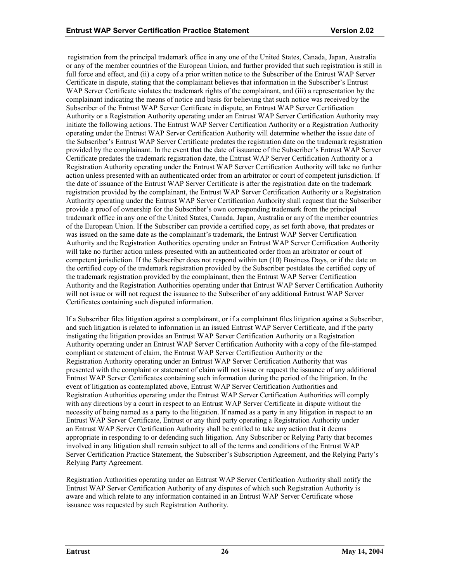registration from the principal trademark office in any one of the United States, Canada, Japan, Australia or any of the member countries of the European Union, and further provided that such registration is still in full force and effect, and (ii) a copy of a prior written notice to the Subscriber of the Entrust WAP Server Certificate in dispute, stating that the complainant believes that information in the Subscriber's Entrust WAP Server Certificate violates the trademark rights of the complainant, and (iii) a representation by the complainant indicating the means of notice and basis for believing that such notice was received by the Subscriber of the Entrust WAP Server Certificate in dispute, an Entrust WAP Server Certification Authority or a Registration Authority operating under an Entrust WAP Server Certification Authority may initiate the following actions. The Entrust WAP Server Certification Authority or a Registration Authority operating under the Entrust WAP Server Certification Authority will determine whether the issue date of the Subscriber's Entrust WAP Server Certificate predates the registration date on the trademark registration provided by the complainant. In the event that the date of issuance of the Subscriber's Entrust WAP Server Certificate predates the trademark registration date, the Entrust WAP Server Certification Authority or a Registration Authority operating under the Entrust WAP Server Certification Authority will take no further action unless presented with an authenticated order from an arbitrator or court of competent jurisdiction. If the date of issuance of the Entrust WAP Server Certificate is after the registration date on the trademark registration provided by the complainant, the Entrust WAP Server Certification Authority or a Registration Authority operating under the Entrust WAP Server Certification Authority shall request that the Subscriber provide a proof of ownership for the Subscriber's own corresponding trademark from the principal trademark office in any one of the United States, Canada, Japan, Australia or any of the member countries of the European Union. If the Subscriber can provide a certified copy, as set forth above, that predates or was issued on the same date as the complainant's trademark, the Entrust WAP Server Certification Authority and the Registration Authorities operating under an Entrust WAP Server Certification Authority will take no further action unless presented with an authenticated order from an arbitrator or court of competent jurisdiction. If the Subscriber does not respond within ten (10) Business Days, or if the date on the certified copy of the trademark registration provided by the Subscriber postdates the certified copy of the trademark registration provided by the complainant, then the Entrust WAP Server Certification Authority and the Registration Authorities operating under that Entrust WAP Server Certification Authority will not issue or will not request the issuance to the Subscriber of any additional Entrust WAP Server Certificates containing such disputed information.

If a Subscriber files litigation against a complainant, or if a complainant files litigation against a Subscriber, and such litigation is related to information in an issued Entrust WAP Server Certificate, and if the party instigating the litigation provides an Entrust WAP Server Certification Authority or a Registration Authority operating under an Entrust WAP Server Certification Authority with a copy of the file-stamped compliant or statement of claim, the Entrust WAP Server Certification Authority or the Registration Authority operating under an Entrust WAP Server Certification Authority that was presented with the complaint or statement of claim will not issue or request the issuance of any additional Entrust WAP Server Certificates containing such information during the period of the litigation. In the event of litigation as contemplated above, Entrust WAP Server Certification Authorities and Registration Authorities operating under the Entrust WAP Server Certification Authorities will comply with any directions by a court in respect to an Entrust WAP Server Certificate in dispute without the necessity of being named as a party to the litigation. If named as a party in any litigation in respect to an Entrust WAP Server Certificate, Entrust or any third party operating a Registration Authority under an Entrust WAP Server Certification Authority shall be entitled to take any action that it deems appropriate in responding to or defending such litigation. Any Subscriber or Relying Party that becomes involved in any litigation shall remain subject to all of the terms and conditions of the Entrust WAP Server Certification Practice Statement, the Subscriber's Subscription Agreement, and the Relying Party's Relying Party Agreement.

Registration Authorities operating under an Entrust WAP Server Certification Authority shall notify the Entrust WAP Server Certification Authority of any disputes of which such Registration Authority is aware and which relate to any information contained in an Entrust WAP Server Certificate whose issuance was requested by such Registration Authority.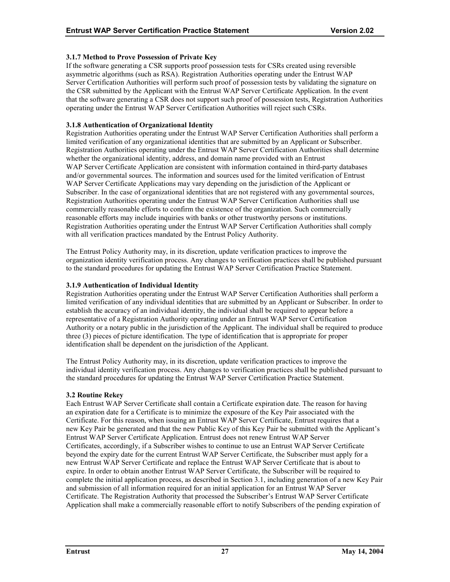# <span id="page-31-0"></span>**3.1.7 Method to Prove Possession of Private Key**

If the software generating a CSR supports proof possession tests for CSRs created using reversible asymmetric algorithms (such as RSA). Registration Authorities operating under the Entrust WAP Server Certification Authorities will perform such proof of possession tests by validating the signature on the CSR submitted by the Applicant with the Entrust WAP Server Certificate Application. In the event that the software generating a CSR does not support such proof of possession tests, Registration Authorities operating under the Entrust WAP Server Certification Authorities will reject such CSRs.

# **3.1.8 Authentication of Organizational Identity**

Registration Authorities operating under the Entrust WAP Server Certification Authorities shall perform a limited verification of any organizational identities that are submitted by an Applicant or Subscriber. Registration Authorities operating under the Entrust WAP Server Certification Authorities shall determine whether the organizational identity, address, and domain name provided with an Entrust WAP Server Certificate Application are consistent with information contained in third-party databases and/or governmental sources. The information and sources used for the limited verification of Entrust WAP Server Certificate Applications may vary depending on the jurisdiction of the Applicant or Subscriber. In the case of organizational identities that are not registered with any governmental sources, Registration Authorities operating under the Entrust WAP Server Certification Authorities shall use commercially reasonable efforts to confirm the existence of the organization. Such commercially reasonable efforts may include inquiries with banks or other trustworthy persons or institutions. Registration Authorities operating under the Entrust WAP Server Certification Authorities shall comply with all verification practices mandated by the Entrust Policy Authority.

The Entrust Policy Authority may, in its discretion, update verification practices to improve the organization identity verification process. Any changes to verification practices shall be published pursuant to the standard procedures for updating the Entrust WAP Server Certification Practice Statement.

# **3.1.9 Authentication of Individual Identity**

Registration Authorities operating under the Entrust WAP Server Certification Authorities shall perform a limited verification of any individual identities that are submitted by an Applicant or Subscriber. In order to establish the accuracy of an individual identity, the individual shall be required to appear before a representative of a Registration Authority operating under an Entrust WAP Server Certification Authority or a notary public in the jurisdiction of the Applicant. The individual shall be required to produce three (3) pieces of picture identification. The type of identification that is appropriate for proper identification shall be dependent on the jurisdiction of the Applicant.

The Entrust Policy Authority may, in its discretion, update verification practices to improve the individual identity verification process. Any changes to verification practices shall be published pursuant to the standard procedures for updating the Entrust WAP Server Certification Practice Statement.

#### **3.2 Routine Rekey**

Each Entrust WAP Server Certificate shall contain a Certificate expiration date. The reason for having an expiration date for a Certificate is to minimize the exposure of the Key Pair associated with the Certificate. For this reason, when issuing an Entrust WAP Server Certificate, Entrust requires that a new Key Pair be generated and that the new Public Key of this Key Pair be submitted with the Applicant's Entrust WAP Server Certificate Application. Entrust does not renew Entrust WAP Server Certificates, accordingly, if a Subscriber wishes to continue to use an Entrust WAP Server Certificate beyond the expiry date for the current Entrust WAP Server Certificate, the Subscriber must apply for a new Entrust WAP Server Certificate and replace the Entrust WAP Server Certificate that is about to expire. In order to obtain another Entrust WAP Server Certificate, the Subscriber will be required to complete the initial application process, as described in Section 3.1, including generation of a new Key Pair and submission of all information required for an initial application for an Entrust WAP Server Certificate. The Registration Authority that processed the Subscriber's Entrust WAP Server Certificate Application shall make a commercially reasonable effort to notify Subscribers of the pending expiration of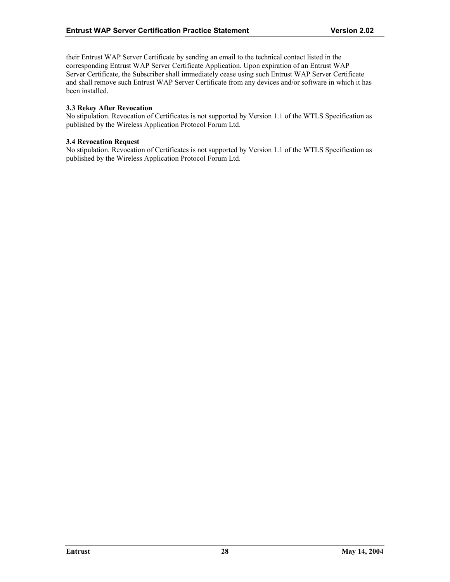<span id="page-32-0"></span>their Entrust WAP Server Certificate by sending an email to the technical contact listed in the corresponding Entrust WAP Server Certificate Application. Upon expiration of an Entrust WAP Server Certificate, the Subscriber shall immediately cease using such Entrust WAP Server Certificate and shall remove such Entrust WAP Server Certificate from any devices and/or software in which it has been installed.

# **3.3 Rekey After Revocation**

No stipulation. Revocation of Certificates is not supported by Version 1.1 of the WTLS Specification as published by the Wireless Application Protocol Forum Ltd.

#### **3.4 Revocation Request**

No stipulation. Revocation of Certificates is not supported by Version 1.1 of the WTLS Specification as published by the Wireless Application Protocol Forum Ltd.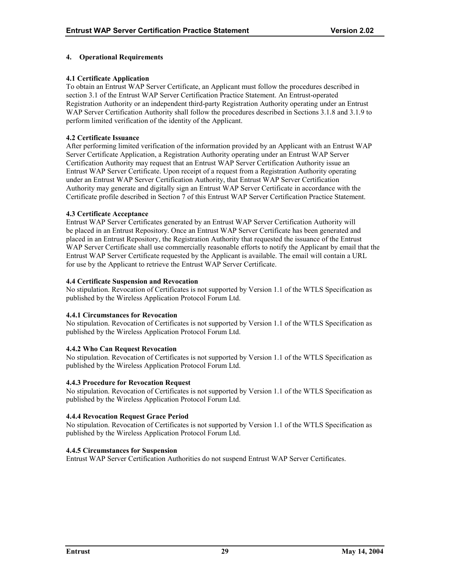# <span id="page-33-0"></span>**4. Operational Requirements**

# **4.1 Certificate Application**

To obtain an Entrust WAP Server Certificate, an Applicant must follow the procedures described in section 3.1 of the Entrust WAP Server Certification Practice Statement. An Entrust-operated Registration Authority or an independent third-party Registration Authority operating under an Entrust WAP Server Certification Authority shall follow the procedures described in Sections 3.1.8 and 3.1.9 to perform limited verification of the identity of the Applicant.

#### **4.2 Certificate Issuance**

After performing limited verification of the information provided by an Applicant with an Entrust WAP Server Certificate Application, a Registration Authority operating under an Entrust WAP Server Certification Authority may request that an Entrust WAP Server Certification Authority issue an Entrust WAP Server Certificate. Upon receipt of a request from a Registration Authority operating under an Entrust WAP Server Certification Authority, that Entrust WAP Server Certification Authority may generate and digitally sign an Entrust WAP Server Certificate in accordance with the Certificate profile described in Section 7 of this Entrust WAP Server Certification Practice Statement.

#### **4.3 Certificate Acceptance**

Entrust WAP Server Certificates generated by an Entrust WAP Server Certification Authority will be placed in an Entrust Repository. Once an Entrust WAP Server Certificate has been generated and placed in an Entrust Repository, the Registration Authority that requested the issuance of the Entrust WAP Server Certificate shall use commercially reasonable efforts to notify the Applicant by email that the Entrust WAP Server Certificate requested by the Applicant is available. The email will contain a URL for use by the Applicant to retrieve the Entrust WAP Server Certificate.

#### **4.4 Certificate Suspension and Revocation**

No stipulation. Revocation of Certificates is not supported by Version 1.1 of the WTLS Specification as published by the Wireless Application Protocol Forum Ltd.

#### **4.4.1 Circumstances for Revocation**

No stipulation. Revocation of Certificates is not supported by Version 1.1 of the WTLS Specification as published by the Wireless Application Protocol Forum Ltd.

# **4.4.2 Who Can Request Revocation**

No stipulation. Revocation of Certificates is not supported by Version 1.1 of the WTLS Specification as published by the Wireless Application Protocol Forum Ltd.

#### **4.4.3 Procedure for Revocation Request**

No stipulation. Revocation of Certificates is not supported by Version 1.1 of the WTLS Specification as published by the Wireless Application Protocol Forum Ltd.

# **4.4.4 Revocation Request Grace Period**

No stipulation. Revocation of Certificates is not supported by Version 1.1 of the WTLS Specification as published by the Wireless Application Protocol Forum Ltd.

# **4.4.5 Circumstances for Suspension**

Entrust WAP Server Certification Authorities do not suspend Entrust WAP Server Certificates.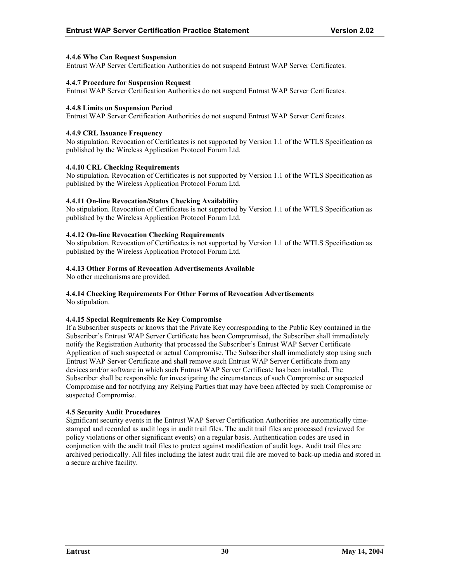# <span id="page-34-0"></span>**4.4.6 Who Can Request Suspension**

Entrust WAP Server Certification Authorities do not suspend Entrust WAP Server Certificates.

#### **4.4.7 Procedure for Suspension Request**

Entrust WAP Server Certification Authorities do not suspend Entrust WAP Server Certificates.

#### **4.4.8 Limits on Suspension Period**

Entrust WAP Server Certification Authorities do not suspend Entrust WAP Server Certificates.

#### **4.4.9 CRL Issuance Frequency**

No stipulation. Revocation of Certificates is not supported by Version 1.1 of the WTLS Specification as published by the Wireless Application Protocol Forum Ltd.

# **4.4.10 CRL Checking Requirements**

No stipulation. Revocation of Certificates is not supported by Version 1.1 of the WTLS Specification as published by the Wireless Application Protocol Forum Ltd.

# **4.4.11 On-line Revocation/Status Checking Availability**

No stipulation. Revocation of Certificates is not supported by Version 1.1 of the WTLS Specification as published by the Wireless Application Protocol Forum Ltd.

# **4.4.12 On-line Revocation Checking Requirements**

No stipulation. Revocation of Certificates is not supported by Version 1.1 of the WTLS Specification as published by the Wireless Application Protocol Forum Ltd.

# **4.4.13 Other Forms of Revocation Advertisements Available**

No other mechanisms are provided.

# **4.4.14 Checking Requirements For Other Forms of Revocation Advertisements**

No stipulation.

# **4.4.15 Special Requirements Re Key Compromise**

If a Subscriber suspects or knows that the Private Key corresponding to the Public Key contained in the Subscriber's Entrust WAP Server Certificate has been Compromised, the Subscriber shall immediately notify the Registration Authority that processed the Subscriber's Entrust WAP Server Certificate Application of such suspected or actual Compromise. The Subscriber shall immediately stop using such Entrust WAP Server Certificate and shall remove such Entrust WAP Server Certificate from any devices and/or software in which such Entrust WAP Server Certificate has been installed. The Subscriber shall be responsible for investigating the circumstances of such Compromise or suspected Compromise and for notifying any Relying Parties that may have been affected by such Compromise or suspected Compromise.

#### **4.5 Security Audit Procedures**

Significant security events in the Entrust WAP Server Certification Authorities are automatically timestamped and recorded as audit logs in audit trail files. The audit trail files are processed (reviewed for policy violations or other significant events) on a regular basis. Authentication codes are used in conjunction with the audit trail files to protect against modification of audit logs. Audit trail files are archived periodically. All files including the latest audit trail file are moved to back-up media and stored in a secure archive facility.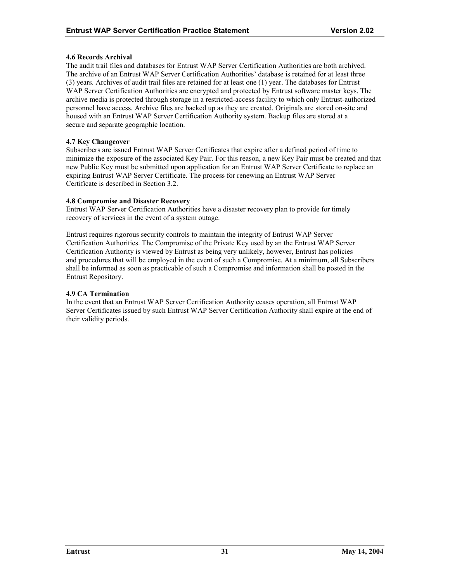# <span id="page-35-0"></span>**4.6 Records Archival**

The audit trail files and databases for Entrust WAP Server Certification Authorities are both archived. The archive of an Entrust WAP Server Certification Authorities' database is retained for at least three (3) years. Archives of audit trail files are retained for at least one (1) year. The databases for Entrust WAP Server Certification Authorities are encrypted and protected by Entrust software master keys. The archive media is protected through storage in a restricted-access facility to which only Entrust-authorized personnel have access. Archive files are backed up as they are created. Originals are stored on-site and housed with an Entrust WAP Server Certification Authority system. Backup files are stored at a secure and separate geographic location.

# **4.7 Key Changeover**

Subscribers are issued Entrust WAP Server Certificates that expire after a defined period of time to minimize the exposure of the associated Key Pair. For this reason, a new Key Pair must be created and that new Public Key must be submitted upon application for an Entrust WAP Server Certificate to replace an expiring Entrust WAP Server Certificate. The process for renewing an Entrust WAP Server Certificate is described in Section 3.2.

# **4.8 Compromise and Disaster Recovery**

Entrust WAP Server Certification Authorities have a disaster recovery plan to provide for timely recovery of services in the event of a system outage.

Entrust requires rigorous security controls to maintain the integrity of Entrust WAP Server Certification Authorities. The Compromise of the Private Key used by an the Entrust WAP Server Certification Authority is viewed by Entrust as being very unlikely, however, Entrust has policies and procedures that will be employed in the event of such a Compromise. At a minimum, all Subscribers shall be informed as soon as practicable of such a Compromise and information shall be posted in the Entrust Repository.

#### **4.9 CA Termination**

In the event that an Entrust WAP Server Certification Authority ceases operation, all Entrust WAP Server Certificates issued by such Entrust WAP Server Certification Authority shall expire at the end of their validity periods.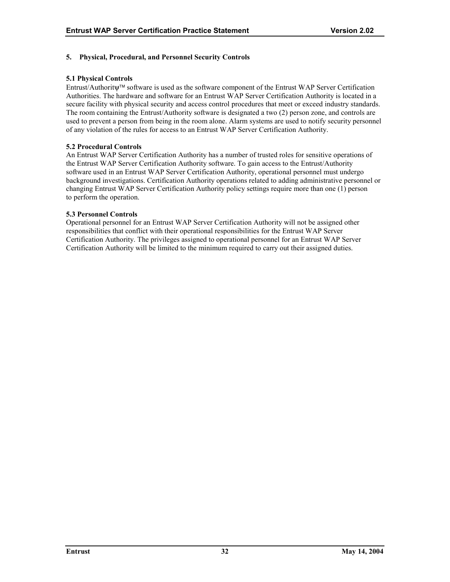# <span id="page-36-0"></span>**5. Physical, Procedural, and Personnel Security Controls**

# **5.1 Physical Controls**

Entrust/Authoritψ software is used as the software component of the Entrust WAP Server Certification Authorities. The hardware and software for an Entrust WAP Server Certification Authority is located in a secure facility with physical security and access control procedures that meet or exceed industry standards. The room containing the Entrust/Authority software is designated a two (2) person zone, and controls are used to prevent a person from being in the room alone. Alarm systems are used to notify security personnel of any violation of the rules for access to an Entrust WAP Server Certification Authority.

# **5.2 Procedural Controls**

An Entrust WAP Server Certification Authority has a number of trusted roles for sensitive operations of the Entrust WAP Server Certification Authority software. To gain access to the Entrust/Authority software used in an Entrust WAP Server Certification Authority, operational personnel must undergo background investigations. Certification Authority operations related to adding administrative personnel or changing Entrust WAP Server Certification Authority policy settings require more than one (1) person to perform the operation.

# **5.3 Personnel Controls**

Operational personnel for an Entrust WAP Server Certification Authority will not be assigned other responsibilities that conflict with their operational responsibilities for the Entrust WAP Server Certification Authority. The privileges assigned to operational personnel for an Entrust WAP Server Certification Authority will be limited to the minimum required to carry out their assigned duties.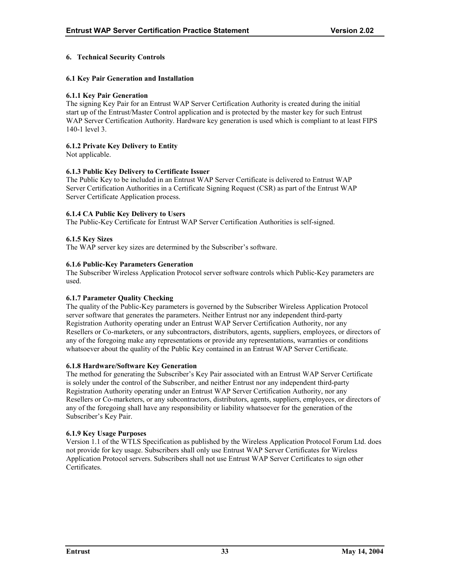# <span id="page-37-0"></span>**6. Technical Security Controls**

#### **6.1 Key Pair Generation and Installation**

#### **6.1.1 Key Pair Generation**

The signing Key Pair for an Entrust WAP Server Certification Authority is created during the initial start up of the Entrust/Master Control application and is protected by the master key for such Entrust WAP Server Certification Authority. Hardware key generation is used which is compliant to at least FIPS 140-1 level 3.

# **6.1.2 Private Key Delivery to Entity**

Not applicable.

# **6.1.3 Public Key Delivery to Certificate Issuer**

The Public Key to be included in an Entrust WAP Server Certificate is delivered to Entrust WAP Server Certification Authorities in a Certificate Signing Request (CSR) as part of the Entrust WAP Server Certificate Application process.

# **6.1.4 CA Public Key Delivery to Users**

The Public-Key Certificate for Entrust WAP Server Certification Authorities is self-signed.

# **6.1.5 Key Sizes**

The WAP server key sizes are determined by the Subscriber's software.

# **6.1.6 Public-Key Parameters Generation**

The Subscriber Wireless Application Protocol server software controls which Public-Key parameters are used.

#### **6.1.7 Parameter Quality Checking**

The quality of the Public-Key parameters is governed by the Subscriber Wireless Application Protocol server software that generates the parameters. Neither Entrust nor any independent third-party Registration Authority operating under an Entrust WAP Server Certification Authority, nor any Resellers or Co-marketers, or any subcontractors, distributors, agents, suppliers, employees, or directors of any of the foregoing make any representations or provide any representations, warranties or conditions whatsoever about the quality of the Public Key contained in an Entrust WAP Server Certificate.

#### **6.1.8 Hardware/Software Key Generation**

The method for generating the Subscriber's Key Pair associated with an Entrust WAP Server Certificate is solely under the control of the Subscriber, and neither Entrust nor any independent third-party Registration Authority operating under an Entrust WAP Server Certification Authority, nor any Resellers or Co-marketers, or any subcontractors, distributors, agents, suppliers, employees, or directors of any of the foregoing shall have any responsibility or liability whatsoever for the generation of the Subscriber's Key Pair.

#### **6.1.9 Key Usage Purposes**

Version 1.1 of the WTLS Specification as published by the Wireless Application Protocol Forum Ltd. does not provide for key usage. Subscribers shall only use Entrust WAP Server Certificates for Wireless Application Protocol servers. Subscribers shall not use Entrust WAP Server Certificates to sign other **Certificates**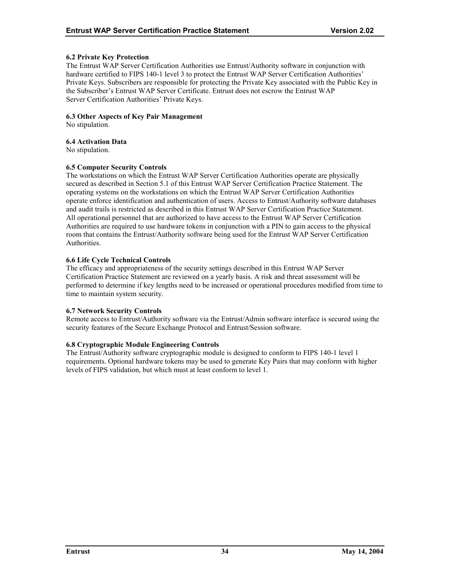# <span id="page-38-0"></span>**6.2 Private Key Protection**

The Entrust WAP Server Certification Authorities use Entrust/Authority software in conjunction with hardware certified to FIPS 140-1 level 3 to protect the Entrust WAP Server Certification Authorities' Private Keys. Subscribers are responsible for protecting the Private Key associated with the Public Key in the Subscriber's Entrust WAP Server Certificate. Entrust does not escrow the Entrust WAP Server Certification Authorities' Private Keys.

#### **6.3 Other Aspects of Key Pair Management**

No stipulation.

# **6.4 Activation Data**

No stipulation.

# **6.5 Computer Security Controls**

The workstations on which the Entrust WAP Server Certification Authorities operate are physically secured as described in Section 5.1 of this Entrust WAP Server Certification Practice Statement. The operating systems on the workstations on which the Entrust WAP Server Certification Authorities operate enforce identification and authentication of users. Access to Entrust/Authority software databases and audit trails is restricted as described in this Entrust WAP Server Certification Practice Statement. All operational personnel that are authorized to have access to the Entrust WAP Server Certification Authorities are required to use hardware tokens in conjunction with a PIN to gain access to the physical room that contains the Entrust/Authority software being used for the Entrust WAP Server Certification Authorities.

# **6.6 Life Cycle Technical Controls**

The efficacy and appropriateness of the security settings described in this Entrust WAP Server Certification Practice Statement are reviewed on a yearly basis. A risk and threat assessment will be performed to determine if key lengths need to be increased or operational procedures modified from time to time to maintain system security.

#### **6.7 Network Security Controls**

Remote access to Entrust/Authority software via the Entrust/Admin software interface is secured using the security features of the Secure Exchange Protocol and Entrust/Session software.

# **6.8 Cryptographic Module Engineering Controls**

The Entrust/Authority software cryptographic module is designed to conform to FIPS 140-1 level 1 requirements. Optional hardware tokens may be used to generate Key Pairs that may conform with higher levels of FIPS validation, but which must at least conform to level 1.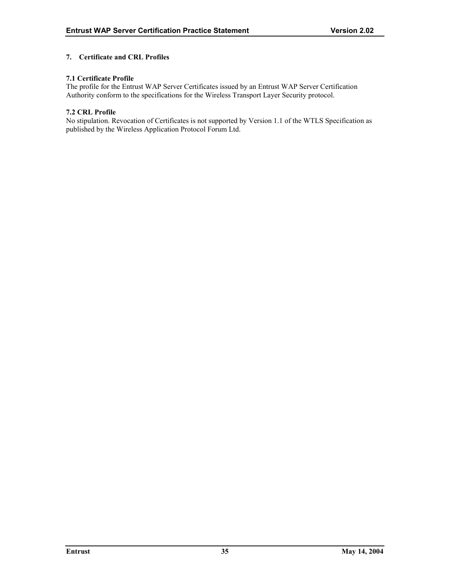# <span id="page-39-0"></span>**7. Certificate and CRL Profiles**

# **7.1 Certificate Profile**

The profile for the Entrust WAP Server Certificates issued by an Entrust WAP Server Certification Authority conform to the specifications for the Wireless Transport Layer Security protocol.

#### **7.2 CRL Profile**

No stipulation. Revocation of Certificates is not supported by Version 1.1 of the WTLS Specification as published by the Wireless Application Protocol Forum Ltd.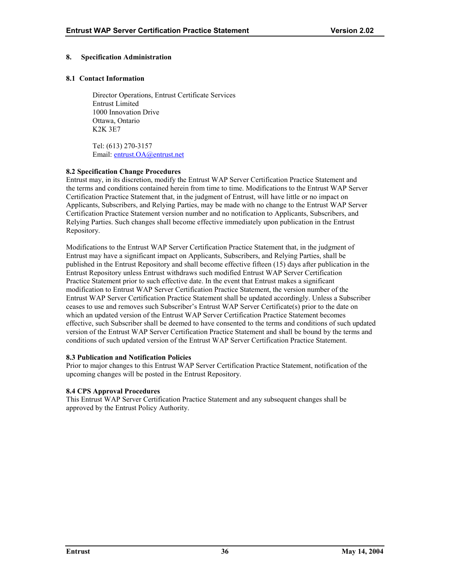# <span id="page-40-0"></span>**8. Specification Administration**

#### **8.1 Contact Information**

Director Operations, Entrust Certificate Services Entrust Limited 1000 Innovation Drive Ottawa, Ontario K2K 3E7

Tel: (613) 270-3157 Email: [entrust.OA@entrust.net](mailto:entrust.OA@entrust.net)

# **8.2 Specification Change Procedures**

Entrust may, in its discretion, modify the Entrust WAP Server Certification Practice Statement and the terms and conditions contained herein from time to time. Modifications to the Entrust WAP Server Certification Practice Statement that, in the judgment of Entrust, will have little or no impact on Applicants, Subscribers, and Relying Parties, may be made with no change to the Entrust WAP Server Certification Practice Statement version number and no notification to Applicants, Subscribers, and Relying Parties. Such changes shall become effective immediately upon publication in the Entrust Repository.

Modifications to the Entrust WAP Server Certification Practice Statement that, in the judgment of Entrust may have a significant impact on Applicants, Subscribers, and Relying Parties, shall be published in the Entrust Repository and shall become effective fifteen (15) days after publication in the Entrust Repository unless Entrust withdraws such modified Entrust WAP Server Certification Practice Statement prior to such effective date. In the event that Entrust makes a significant modification to Entrust WAP Server Certification Practice Statement, the version number of the Entrust WAP Server Certification Practice Statement shall be updated accordingly. Unless a Subscriber ceases to use and removes such Subscriber's Entrust WAP Server Certificate(s) prior to the date on which an updated version of the Entrust WAP Server Certification Practice Statement becomes effective, such Subscriber shall be deemed to have consented to the terms and conditions of such updated version of the Entrust WAP Server Certification Practice Statement and shall be bound by the terms and conditions of such updated version of the Entrust WAP Server Certification Practice Statement.

#### **8.3 Publication and Notification Policies**

Prior to major changes to this Entrust WAP Server Certification Practice Statement, notification of the upcoming changes will be posted in the Entrust Repository.

#### **8.4 CPS Approval Procedures**

This Entrust WAP Server Certification Practice Statement and any subsequent changes shall be approved by the Entrust Policy Authority.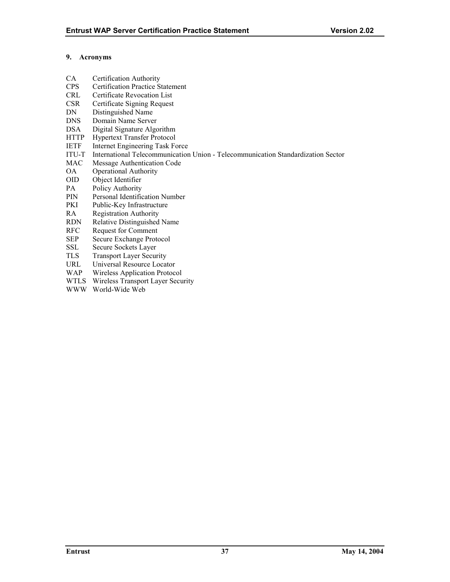# <span id="page-41-0"></span>**9. Acronyms**

- CA Certification Authority
- CPS Certification Practice Statement
- CRL Certificate Revocation List
- CSR Certificate Signing Request
- DN Distinguished Name
- DNS Domain Name Server
- DSA Digital Signature Algorithm
- HTTP Hypertext Transfer Protocol
- IETF Internet Engineering Task Force
- ITU-T International Telecommunication Union Telecommunication Standardization Sector
- MAC Message Authentication Code
- OA Operational Authority
- OID Object Identifier
- PA Policy Authority
- PIN Personal Identification Number
- PKI Public-Key Infrastructure
- RA Registration Authority
- RDN Relative Distinguished Name
- RFC Request for Comment
- SEP Secure Exchange Protocol
- SSL Secure Sockets Layer
- TLS Transport Layer Security
- URL Universal Resource Locator
- WAP Wireless Application Protocol
- WTLS Wireless Transport Layer Security
- WWW World-Wide Web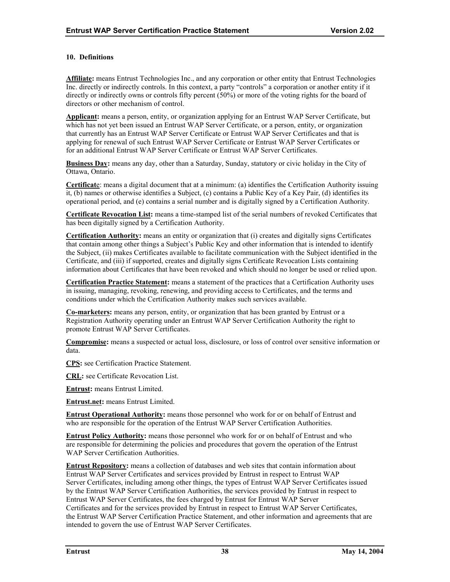# <span id="page-42-0"></span>**10. Definitions**

**Affiliate:** means Entrust Technologies Inc., and any corporation or other entity that Entrust Technologies Inc. directly or indirectly controls. In this context, a party "controls" a corporation or another entity if it directly or indirectly owns or controls fifty percent (50%) or more of the voting rights for the board of directors or other mechanism of control.

**Applicant:** means a person, entity, or organization applying for an Entrust WAP Server Certificate, but which has not yet been issued an Entrust WAP Server Certificate, or a person, entity, or organization that currently has an Entrust WAP Server Certificate or Entrust WAP Server Certificates and that is applying for renewal of such Entrust WAP Server Certificate or Entrust WAP Server Certificates or for an additional Entrust WAP Server Certificate or Entrust WAP Server Certificates.

**Business Day:** means any day, other than a Saturday, Sunday, statutory or civic holiday in the City of Ottawa, Ontario.

**Certificat**e: means a digital document that at a minimum: (a) identifies the Certification Authority issuing it, (b) names or otherwise identifies a Subject, (c) contains a Public Key of a Key Pair, (d) identifies its operational period, and (e) contains a serial number and is digitally signed by a Certification Authority.

**Certificate Revocation List:** means a time-stamped list of the serial numbers of revoked Certificates that has been digitally signed by a Certification Authority.

**Certification Authority:** means an entity or organization that (i) creates and digitally signs Certificates that contain among other things a Subject's Public Key and other information that is intended to identify the Subject, (ii) makes Certificates available to facilitate communication with the Subject identified in the Certificate, and (iii) if supported, creates and digitally signs Certificate Revocation Lists containing information about Certificates that have been revoked and which should no longer be used or relied upon.

**Certification Practice Statement:** means a statement of the practices that a Certification Authority uses in issuing, managing, revoking, renewing, and providing access to Certificates, and the terms and conditions under which the Certification Authority makes such services available.

**Co-marketers:** means any person, entity, or organization that has been granted by Entrust or a Registration Authority operating under an Entrust WAP Server Certification Authority the right to promote Entrust WAP Server Certificates.

**Compromise:** means a suspected or actual loss, disclosure, or loss of control over sensitive information or data.

**CPS:** see Certification Practice Statement.

**CRL:** see Certificate Revocation List.

**Entrust:** means Entrust Limited.

**Entrust.net:** means Entrust Limited.

**Entrust Operational Authority:** means those personnel who work for or on behalf of Entrust and who are responsible for the operation of the Entrust WAP Server Certification Authorities.

**Entrust Policy Authority:** means those personnel who work for or on behalf of Entrust and who are responsible for determining the policies and procedures that govern the operation of the Entrust WAP Server Certification Authorities.

**Entrust Repository:** means a collection of databases and web sites that contain information about Entrust WAP Server Certificates and services provided by Entrust in respect to Entrust WAP Server Certificates, including among other things, the types of Entrust WAP Server Certificates issued by the Entrust WAP Server Certification Authorities, the services provided by Entrust in respect to Entrust WAP Server Certificates, the fees charged by Entrust for Entrust WAP Server Certificates and for the services provided by Entrust in respect to Entrust WAP Server Certificates, the Entrust WAP Server Certification Practice Statement, and other information and agreements that are intended to govern the use of Entrust WAP Server Certificates.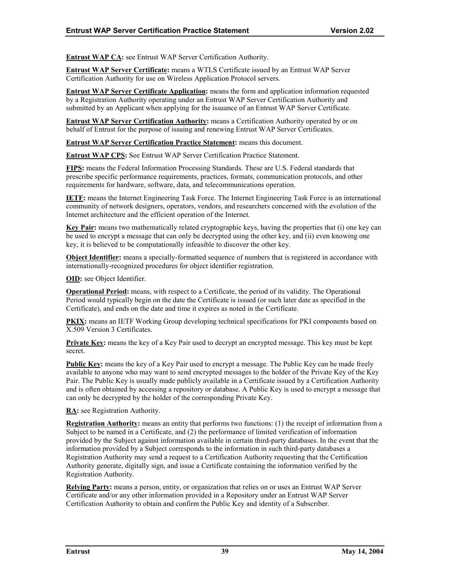**Entrust WAP CA:** see Entrust WAP Server Certification Authority.

**Entrust WAP Server Certificate:** means a WTLS Certificate issued by an Entrust WAP Server Certification Authority for use on Wireless Application Protocol servers.

**Entrust WAP Server Certificate Application:** means the form and application information requested by a Registration Authority operating under an Entrust WAP Server Certification Authority and submitted by an Applicant when applying for the issuance of an Entrust WAP Server Certificate.

**Entrust WAP Server Certification Authority:** means a Certification Authority operated by or on behalf of Entrust for the purpose of issuing and renewing Entrust WAP Server Certificates.

**Entrust WAP Server Certification Practice Statement:** means this document.

**Entrust WAP CPS:** See Entrust WAP Server Certification Practice Statement.

**FIPS:** means the Federal Information Processing Standards. These are U.S. Federal standards that prescribe specific performance requirements, practices, formats, communication protocols, and other requirements for hardware, software, data, and telecommunications operation.

**IETF:** means the Internet Engineering Task Force. The Internet Engineering Task Force is an international community of network designers, operators, vendors, and researchers concerned with the evolution of the Internet architecture and the efficient operation of the Internet.

**Key Pair:** means two mathematically related cryptographic keys, having the properties that (i) one key can be used to encrypt a message that can only be decrypted using the other key, and (ii) even knowing one key, it is believed to be computationally infeasible to discover the other key.

**Object Identifier:** means a specially-formatted sequence of numbers that is registered in accordance with internationally-recognized procedures for object identifier registration.

**OID:** see Object Identifier.

**Operational Period:** means, with respect to a Certificate, the period of its validity. The Operational Period would typically begin on the date the Certificate is issued (or such later date as specified in the Certificate), and ends on the date and time it expires as noted in the Certificate.

**PKIX:** means an IETF Working Group developing technical specifications for PKI components based on X.509 Version 3 Certificates.

**Private Key:** means the key of a Key Pair used to decrypt an encrypted message. This key must be kept secret.

**Public Key:** means the key of a Key Pair used to encrypt a message. The Public Key can be made freely available to anyone who may want to send encrypted messages to the holder of the Private Key of the Key Pair. The Public Key is usually made publicly available in a Certificate issued by a Certification Authority and is often obtained by accessing a repository or database. A Public Key is used to encrypt a message that can only be decrypted by the holder of the corresponding Private Key.

**RA:** see Registration Authority.

**Registration Authority:** means an entity that performs two functions: (1) the receipt of information from a Subject to be named in a Certificate, and (2) the performance of limited verification of information provided by the Subject against information available in certain third-party databases. In the event that the information provided by a Subject corresponds to the information in such third-party databases a Registration Authority may send a request to a Certification Authority requesting that the Certification Authority generate, digitally sign, and issue a Certificate containing the information verified by the Registration Authority.

**Relying Party:** means a person, entity, or organization that relies on or uses an Entrust WAP Server Certificate and/or any other information provided in a Repository under an Entrust WAP Server Certification Authority to obtain and confirm the Public Key and identity of a Subscriber.